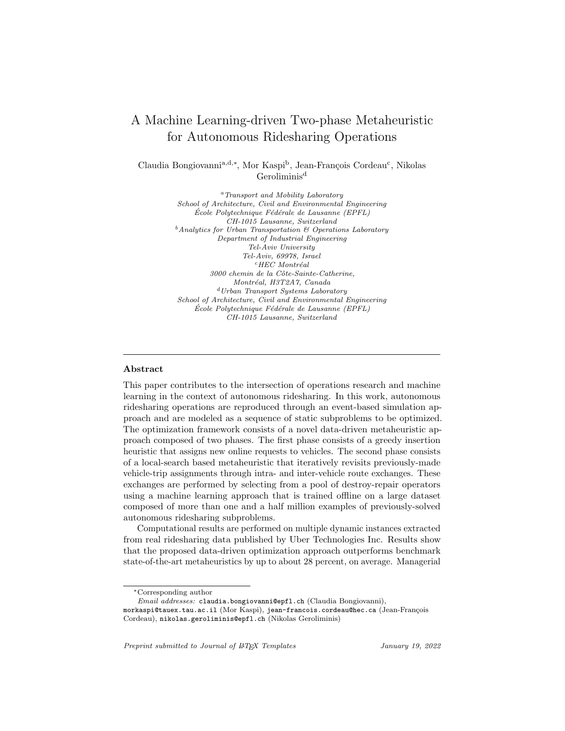# A Machine Learning-driven Two-phase Metaheuristic for Autonomous Ridesharing Operations

Claudia Bongiovanni<sup>a,d,∗</sup>, Mor Kaspi<sup>b</sup>, Jean-François Cordeau<sup>c</sup>, Nikolas Geroliminis<sup>d</sup>

> <sup>a</sup> Transport and Mobility Laboratory School of Architecture, Civil and Environmental Engineering École Polytechnique Fédérale de Lausanne (EPFL) CH-1015 Lausanne, Switzerland  $<sup>b</sup> Analytics for Urban Transformation & Operations Laboratory$ </sup> Department of Industrial Engineering Tel-Aviv University Tel-Aviv, 69978, Israel  $c$ HEC Montréal 3000 chemin de la Cˆote-Sainte-Catherine, Montréal, H3T2A7, Canada <sup>d</sup>Urban Transport Systems Laboratory School of Architecture, Civil and Environmental Engineering  $École Polytechnique Fédérale de Lausanne (EPFL)$ CH-1015 Lausanne, Switzerland

### Abstract

This paper contributes to the intersection of operations research and machine learning in the context of autonomous ridesharing. In this work, autonomous ridesharing operations are reproduced through an event-based simulation approach and are modeled as a sequence of static subproblems to be optimized. The optimization framework consists of a novel data-driven metaheuristic approach composed of two phases. The first phase consists of a greedy insertion heuristic that assigns new online requests to vehicles. The second phase consists of a local-search based metaheuristic that iteratively revisits previously-made vehicle-trip assignments through intra- and inter-vehicle route exchanges. These exchanges are performed by selecting from a pool of destroy-repair operators using a machine learning approach that is trained offline on a large dataset composed of more than one and a half million examples of previously-solved autonomous ridesharing subproblems.

Computational results are performed on multiple dynamic instances extracted from real ridesharing data published by Uber Technologies Inc. Results show that the proposed data-driven optimization approach outperforms benchmark state-of-the-art metaheuristics by up to about 28 percent, on average. Managerial

<sup>∗</sup>Corresponding author

Email addresses: claudia.bongiovanni@epfl.ch (Claudia Bongiovanni),

morkaspi@tauex.tau.ac.il (Mor Kaspi), jean-francois.cordeau@hec.ca (Jean-François Cordeau), nikolas.geroliminis@epfl.ch (Nikolas Geroliminis)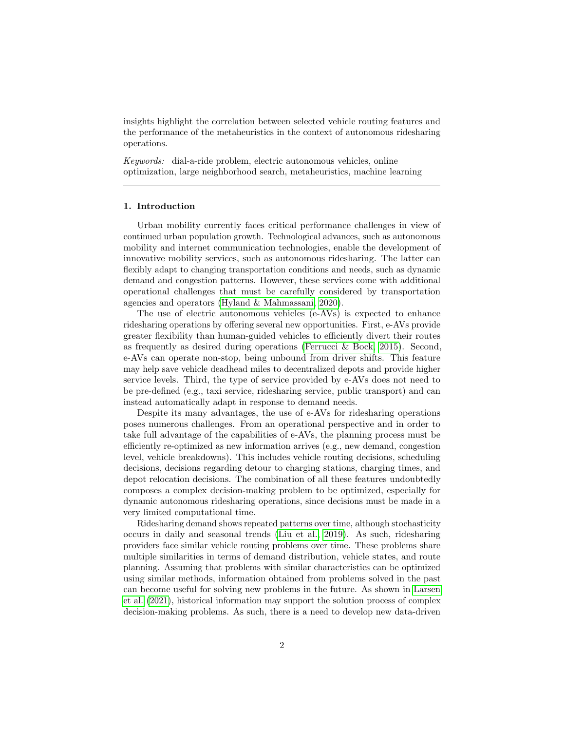insights highlight the correlation between selected vehicle routing features and the performance of the metaheuristics in the context of autonomous ridesharing operations.

Keywords: dial-a-ride problem, electric autonomous vehicles, online optimization, large neighborhood search, metaheuristics, machine learning

#### 1. Introduction

Urban mobility currently faces critical performance challenges in view of continued urban population growth. Technological advances, such as autonomous mobility and internet communication technologies, enable the development of innovative mobility services, such as autonomous ridesharing. The latter can flexibly adapt to changing transportation conditions and needs, such as dynamic demand and congestion patterns. However, these services come with additional operational challenges that must be carefully considered by transportation agencies and operators [\(Hyland & Mahmassani, 2020\)](#page-35-0).

The use of electric autonomous vehicles (e-AVs) is expected to enhance ridesharing operations by offering several new opportunities. First, e-AVs provide greater flexibility than human-guided vehicles to efficiently divert their routes as frequently as desired during operations [\(Ferrucci & Bock, 2015\)](#page-35-1). Second, e-AVs can operate non-stop, being unbound from driver shifts. This feature may help save vehicle deadhead miles to decentralized depots and provide higher service levels. Third, the type of service provided by e-AVs does not need to be pre-defined (e.g., taxi service, ridesharing service, public transport) and can instead automatically adapt in response to demand needs.

Despite its many advantages, the use of e-AVs for ridesharing operations poses numerous challenges. From an operational perspective and in order to take full advantage of the capabilities of e-AVs, the planning process must be efficiently re-optimized as new information arrives (e.g., new demand, congestion level, vehicle breakdowns). This includes vehicle routing decisions, scheduling decisions, decisions regarding detour to charging stations, charging times, and depot relocation decisions. The combination of all these features undoubtedly composes a complex decision-making problem to be optimized, especially for dynamic autonomous ridesharing operations, since decisions must be made in a very limited computational time.

Ridesharing demand shows repeated patterns over time, although stochasticity occurs in daily and seasonal trends [\(Liu et al., 2019\)](#page-36-0). As such, ridesharing providers face similar vehicle routing problems over time. These problems share multiple similarities in terms of demand distribution, vehicle states, and route planning. Assuming that problems with similar characteristics can be optimized using similar methods, information obtained from problems solved in the past can become useful for solving new problems in the future. As shown in [Larsen](#page-36-1) [et al.](#page-36-1) [\(2021\)](#page-36-1), historical information may support the solution process of complex decision-making problems. As such, there is a need to develop new data-driven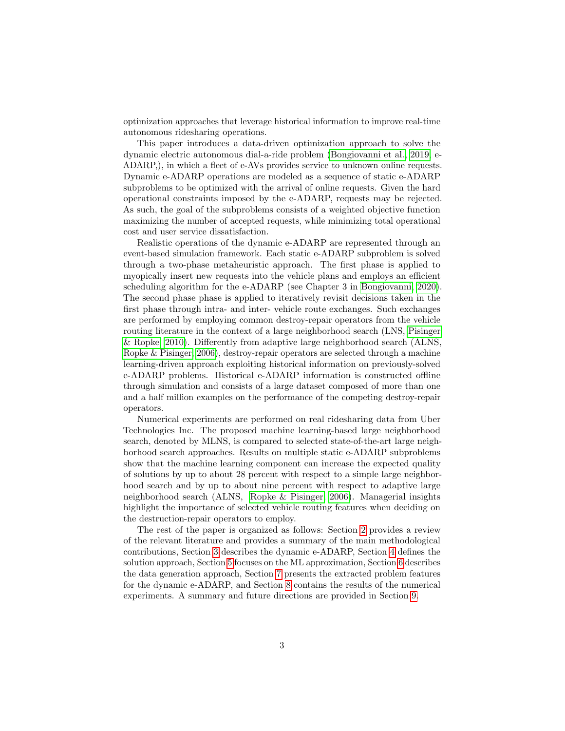optimization approaches that leverage historical information to improve real-time autonomous ridesharing operations.

This paper introduces a data-driven optimization approach to solve the dynamic electric autonomous dial-a-ride problem [\(Bongiovanni et al., 2019,](#page-34-0) e-ADARP,), in which a fleet of e-AVs provides service to unknown online requests. Dynamic e-ADARP operations are modeled as a sequence of static e-ADARP subproblems to be optimized with the arrival of online requests. Given the hard operational constraints imposed by the e-ADARP, requests may be rejected. As such, the goal of the subproblems consists of a weighted objective function maximizing the number of accepted requests, while minimizing total operational cost and user service dissatisfaction.

Realistic operations of the dynamic e-ADARP are represented through an event-based simulation framework. Each static e-ADARP subproblem is solved through a two-phase metaheuristic approach. The first phase is applied to myopically insert new requests into the vehicle plans and employs an efficient scheduling algorithm for the e-ADARP (see Chapter 3 in [Bongiovanni, 2020\)](#page-34-1). The second phase phase is applied to iteratively revisit decisions taken in the first phase through intra- and inter- vehicle route exchanges. Such exchanges are performed by employing common destroy-repair operators from the vehicle routing literature in the context of a large neighborhood search (LNS, [Pisinger](#page-37-0) [& Ropke, 2010\)](#page-37-0). Differently from adaptive large neighborhood search (ALNS, [Ropke & Pisinger, 2006\)](#page-37-1), destroy-repair operators are selected through a machine learning-driven approach exploiting historical information on previously-solved e-ADARP problems. Historical e-ADARP information is constructed offline through simulation and consists of a large dataset composed of more than one and a half million examples on the performance of the competing destroy-repair operators.

Numerical experiments are performed on real ridesharing data from Uber Technologies Inc. The proposed machine learning-based large neighborhood search, denoted by MLNS, is compared to selected state-of-the-art large neighborhood search approaches. Results on multiple static e-ADARP subproblems show that the machine learning component can increase the expected quality of solutions by up to about 28 percent with respect to a simple large neighborhood search and by up to about nine percent with respect to adaptive large neighborhood search (ALNS, [Ropke & Pisinger, 2006\)](#page-37-1). Managerial insights highlight the importance of selected vehicle routing features when deciding on the destruction-repair operators to employ.

The rest of the paper is organized as follows: Section [2](#page-3-0) provides a review of the relevant literature and provides a summary of the main methodological contributions, Section [3](#page-7-0) describes the dynamic e-ADARP, Section [4](#page-8-0) defines the solution approach, Section [5](#page-13-0) focuses on the ML approximation, Section [6](#page-15-0) describes the data generation approach, Section [7](#page-16-0) presents the extracted problem features for the dynamic e-ADARP, and Section [8](#page-19-0) contains the results of the numerical experiments. A summary and future directions are provided in Section [9.](#page-32-0)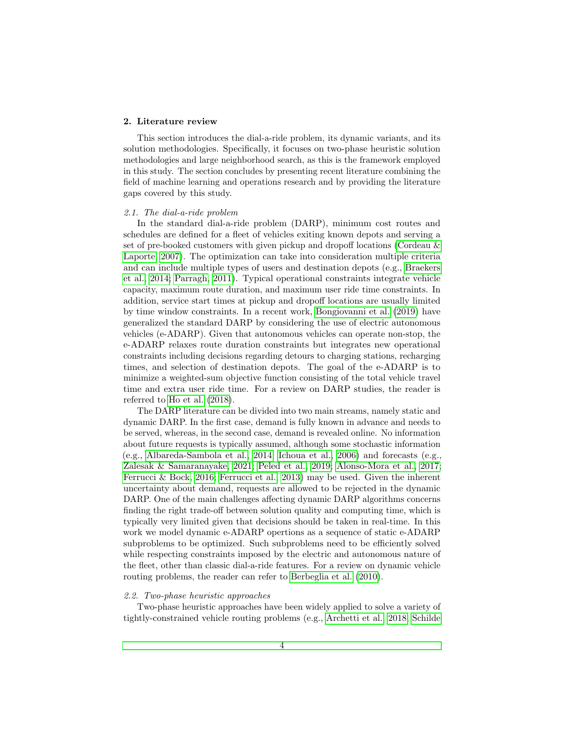# <span id="page-3-0"></span>2. Literature review

This section introduces the dial-a-ride problem, its dynamic variants, and its solution methodologies. Specifically, it focuses on two-phase heuristic solution methodologies and large neighborhood search, as this is the framework employed in this study. The section concludes by presenting recent literature combining the field of machine learning and operations research and by providing the literature gaps covered by this study.

# 2.1. The dial-a-ride problem

In the standard dial-a-ride problem (DARP), minimum cost routes and schedules are defined for a fleet of vehicles exiting known depots and serving a set of pre-booked customers with given pickup and dropoff locations [\(Cordeau &](#page-34-2) [Laporte, 2007\)](#page-34-2). The optimization can take into consideration multiple criteria and can include multiple types of users and destination depots (e.g., [Braekers](#page-34-3) [et al., 2014;](#page-34-3) [Parragh, 2011\)](#page-37-2). Typical operational constraints integrate vehicle capacity, maximum route duration, and maximum user ride time constraints. In addition, service start times at pickup and dropoff locations are usually limited by time window constraints. In a recent work, [Bongiovanni et al.](#page-34-0) [\(2019\)](#page-34-0) have generalized the standard DARP by considering the use of electric autonomous vehicles (e-ADARP). Given that autonomous vehicles can operate non-stop, the e-ADARP relaxes route duration constraints but integrates new operational constraints including decisions regarding detours to charging stations, recharging times, and selection of destination depots. The goal of the e-ADARP is to minimize a weighted-sum objective function consisting of the total vehicle travel time and extra user ride time. For a review on DARP studies, the reader is referred to [Ho et al.](#page-35-2) [\(2018\)](#page-35-2).

The DARP literature can be divided into two main streams, namely static and dynamic DARP. In the first case, demand is fully known in advance and needs to be served, whereas, in the second case, demand is revealed online. No information about future requests is typically assumed, although some stochastic information (e.g., [Albareda-Sambola et al., 2014;](#page-33-0) [Ichoua et al., 2006\)](#page-36-2) and forecasts (e.g., [Zalesak & Samaranayake, 2021;](#page-38-0) [Peled et al., 2019;](#page-37-3) [Alonso-Mora et al., 2017;](#page-33-1) [Ferrucci & Bock, 2016;](#page-35-3) [Ferrucci et al., 2013\)](#page-35-4) may be used. Given the inherent uncertainty about demand, requests are allowed to be rejected in the dynamic DARP. One of the main challenges affecting dynamic DARP algorithms concerns finding the right trade-off between solution quality and computing time, which is typically very limited given that decisions should be taken in real-time. In this work we model dynamic e-ADARP opertions as a sequence of static e-ADARP subproblems to be optimized. Such subproblems need to be efficiently solved while respecting constraints imposed by the electric and autonomous nature of the fleet, other than classic dial-a-ride features. For a review on dynamic vehicle routing problems, the reader can refer to [Berbeglia et al.](#page-33-2) [\(2010\)](#page-33-2).

#### 2.2. Two-phase heuristic approaches

Two-phase heuristic approaches have been widely applied to solve a variety of tightly-constrained vehicle routing problems (e.g., [Archetti et al., 2018;](#page-33-3) [Schilde](#page-38-1)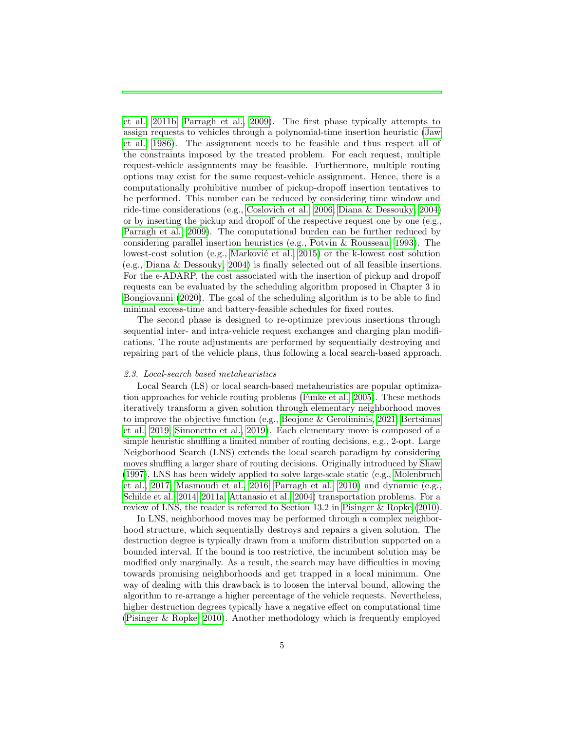[et al., 2011b;](#page-38-1) [Parragh et al., 2009\)](#page-37-4). The first phase typically attempts to assign requests to vehicles through a polynomial-time insertion heuristic [\(Jaw](#page-36-3) [et al., 1986\)](#page-36-3). The assignment needs to be feasible and thus respect all of the constraints imposed by the treated problem. For each request, multiple request-vehicle assignments may be feasible. Furthermore, multiple routing options may exist for the same request-vehicle assignment. Hence, there is a computationally prohibitive number of pickup-dropoff insertion tentatives to be performed. This number can be reduced by considering time window and ride-time considerations (e.g., [Coslovich et al., 2006;](#page-34-4) [Diana & Dessouky, 2004\)](#page-34-5) or by inserting the pickup and dropoff of the respective request one by one (e.g., [Parragh et al., 2009\)](#page-37-4). The computational burden can be further reduced by considering parallel insertion heuristics (e.g., [Potvin & Rousseau, 1993\)](#page-37-5). The lowest-cost solution (e.g., Marković et al., 2015) or the k-lowest cost solution (e.g., [Diana & Dessouky, 2004\)](#page-34-5) is finally selected out of all feasible insertions. For the e-ADARP, the cost associated with the insertion of pickup and dropoff requests can be evaluated by the scheduling algorithm proposed in Chapter 3 in [Bongiovanni](#page-34-1) [\(2020\)](#page-34-1). The goal of the scheduling algorithm is to be able to find minimal excess-time and battery-feasible schedules for fixed routes.

The second phase is designed to re-optimize previous insertions through sequential inter- and intra-vehicle request exchanges and charging plan modifications. The route adjustments are performed by sequentially destroying and repairing part of the vehicle plans, thus following a local search-based approach.

#### 2.3. Local-search based metaheuristics

Local Search (LS) or local search-based metaheuristics are popular optimization approaches for vehicle routing problems [\(Funke et al., 2005\)](#page-35-5). These methods iteratively transform a given solution through elementary neighborhood moves to improve the objective function (e.g., [Beojone & Geroliminis, 2021;](#page-33-4) [Bertsimas](#page-33-5) [et al., 2019;](#page-33-5) [Simonetto et al., 2019\)](#page-38-2). Each elementary move is composed of a simple heuristic shuffling a limited number of routing decisions, e.g., 2-opt. Large Neigborhood Search (LNS) extends the local search paradigm by considering moves shuffling a larger share of routing decisions. Originally introduced by [Shaw](#page-38-3) [\(1997\)](#page-38-3), LNS has been widely applied to solve large-scale static (e.g., [Molenbruch](#page-37-7) [et al., 2017;](#page-37-7) [Masmoudi et al., 2016;](#page-37-8) [Parragh et al., 2010\)](#page-37-9) and dynamic (e.g., [Schilde et al., 2014,](#page-38-4) [2011a;](#page-38-5) [Attanasio et al., 2004\)](#page-33-6) transportation problems. For a review of LNS, the reader is referred to Section 13.2 in [Pisinger & Ropke](#page-37-0) [\(2010\)](#page-37-0).

In LNS, neighborhood moves may be performed through a complex neighborhood structure, which sequentially destroys and repairs a given solution. The destruction degree is typically drawn from a uniform distribution supported on a bounded interval. If the bound is too restrictive, the incumbent solution may be modified only marginally. As a result, the search may have difficulties in moving towards promising neighborhoods and get trapped in a local minimum. One way of dealing with this drawback is to loosen the interval bound, allowing the algorithm to re-arrange a higher percentage of the vehicle requests. Nevertheless, higher destruction degrees typically have a negative effect on computational time [\(Pisinger & Ropke, 2010\)](#page-37-0). Another methodology which is frequently employed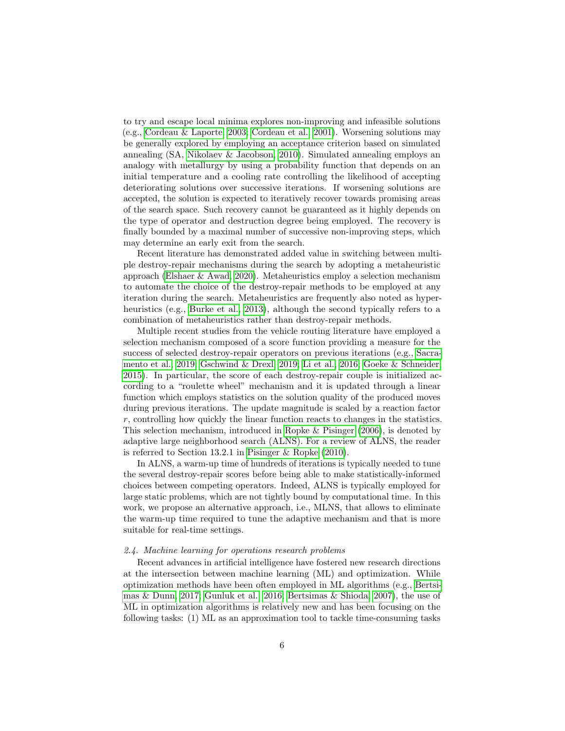to try and escape local minima explores non-improving and infeasible solutions (e.g., [Cordeau & Laporte, 2003;](#page-34-6) [Cordeau et al., 2001\)](#page-34-7). Worsening solutions may be generally explored by employing an acceptance criterion based on simulated annealing (SA, [Nikolaev & Jacobson, 2010\)](#page-37-10). Simulated annealing employs an analogy with metallurgy by using a probability function that depends on an initial temperature and a cooling rate controlling the likelihood of accepting deteriorating solutions over successive iterations. If worsening solutions are accepted, the solution is expected to iteratively recover towards promising areas of the search space. Such recovery cannot be guaranteed as it highly depends on the type of operator and destruction degree being employed. The recovery is finally bounded by a maximal number of successive non-improving steps, which may determine an early exit from the search.

Recent literature has demonstrated added value in switching between multiple destroy-repair mechanisms during the search by adopting a metaheuristic approach [\(Elshaer & Awad, 2020\)](#page-35-6). Metaheuristics employ a selection mechanism to automate the choice of the destroy-repair methods to be employed at any iteration during the search. Metaheuristics are frequently also noted as hyper-heuristics (e.g., [Burke et al., 2013\)](#page-34-8), although the second typically refers to a combination of metaheuristics rather than destroy-repair methods.

Multiple recent studies from the vehicle routing literature have employed a selection mechanism composed of a score function providing a measure for the success of selected destroy-repair operators on previous iterations (e.g., [Sacra](#page-38-6)[mento et al., 2019;](#page-38-6) [Gschwind & Drexl, 2019;](#page-35-7) [Li et al., 2016;](#page-36-4) [Goeke & Schneider,](#page-35-8) [2015\)](#page-35-8). In particular, the score of each destroy-repair couple is initialized according to a "roulette wheel" mechanism and it is updated through a linear function which employs statistics on the solution quality of the produced moves during previous iterations. The update magnitude is scaled by a reaction factor r, controlling how quickly the linear function reacts to changes in the statistics. This selection mechanism, introduced in [Ropke & Pisinger](#page-37-1) [\(2006\)](#page-37-1), is denoted by adaptive large neighborhood search (ALNS). For a review of ALNS, the reader is referred to Section 13.2.1 in [Pisinger & Ropke](#page-37-0) [\(2010\)](#page-37-0).

In ALNS, a warm-up time of hundreds of iterations is typically needed to tune the several destroy-repair scores before being able to make statistically-informed choices between competing operators. Indeed, ALNS is typically employed for large static problems, which are not tightly bound by computational time. In this work, we propose an alternative approach, i.e., MLNS, that allows to eliminate the warm-up time required to tune the adaptive mechanism and that is more suitable for real-time settings.

#### 2.4. Machine learning for operations research problems

Recent advances in artificial intelligence have fostered new research directions at the intersection between machine learning (ML) and optimization. While optimization methods have been often employed in ML algorithms (e.g., [Bertsi](#page-33-7)[mas & Dunn, 2017;](#page-33-7) [Gunluk et al., 2016;](#page-35-9) [Bertsimas & Shioda, 2007\)](#page-33-8), the use of ML in optimization algorithms is relatively new and has been focusing on the following tasks: (1) ML as an approximation tool to tackle time-consuming tasks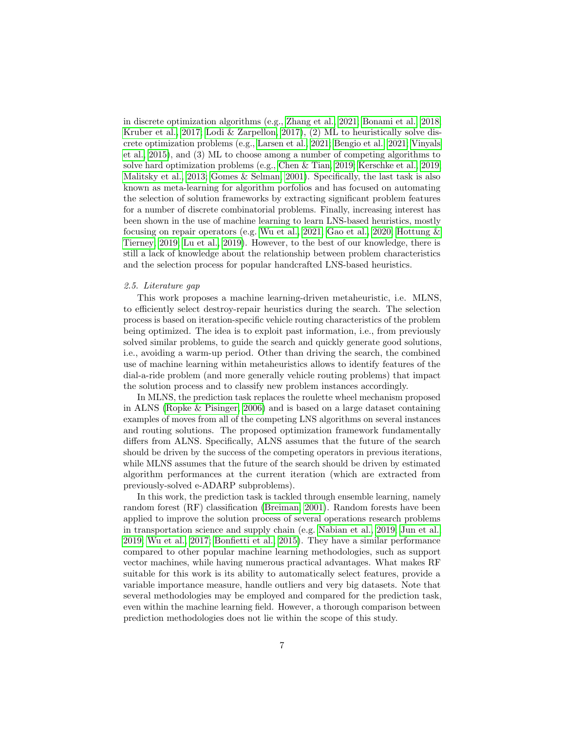in discrete optimization algorithms (e.g., [Zhang et al., 2021;](#page-38-7) [Bonami et al., 2018;](#page-33-9) [Kruber et al., 2017;](#page-36-5) [Lodi & Zarpellon, 2017\)](#page-36-6), (2) ML to heuristically solve discrete optimization problems (e.g., [Larsen et al., 2021;](#page-36-1) [Bengio et al., 2021;](#page-33-10) [Vinyals](#page-38-8) [et al., 2015\)](#page-38-8), and (3) ML to choose among a number of competing algorithms to solve hard optimization problems (e.g., [Chen & Tian, 2019;](#page-34-9) [Kerschke et al., 2019;](#page-36-7) [Malitsky et al., 2013;](#page-36-8) [Gomes & Selman, 2001\)](#page-35-10). Specifically, the last task is also known as meta-learning for algorithm porfolios and has focused on automating the selection of solution frameworks by extracting significant problem features for a number of discrete combinatorial problems. Finally, increasing interest has been shown in the use of machine learning to learn LNS-based heuristics, mostly focusing on repair operators (e.g. [Wu et al., 2021;](#page-38-9) [Gao et al., 2020;](#page-35-11) [Hottung &](#page-35-12) [Tierney, 2019;](#page-35-12) [Lu et al., 2019\)](#page-36-9). However, to the best of our knowledge, there is still a lack of knowledge about the relationship between problem characteristics and the selection process for popular handcrafted LNS-based heuristics.

## 2.5. Literature gap

This work proposes a machine learning-driven metaheuristic, i.e. MLNS, to efficiently select destroy-repair heuristics during the search. The selection process is based on iteration-specific vehicle routing characteristics of the problem being optimized. The idea is to exploit past information, i.e., from previously solved similar problems, to guide the search and quickly generate good solutions, i.e., avoiding a warm-up period. Other than driving the search, the combined use of machine learning within metaheuristics allows to identify features of the dial-a-ride problem (and more generally vehicle routing problems) that impact the solution process and to classify new problem instances accordingly.

In MLNS, the prediction task replaces the roulette wheel mechanism proposed in ALNS [\(Ropke & Pisinger, 2006\)](#page-37-1) and is based on a large dataset containing examples of moves from all of the competing LNS algorithms on several instances and routing solutions. The proposed optimization framework fundamentally differs from ALNS. Specifically, ALNS assumes that the future of the search should be driven by the success of the competing operators in previous iterations, while MLNS assumes that the future of the search should be driven by estimated algorithm performances at the current iteration (which are extracted from previously-solved e-ADARP subproblems).

In this work, the prediction task is tackled through ensemble learning, namely random forest (RF) classification [\(Breiman, 2001\)](#page-34-10). Random forests have been applied to improve the solution process of several operations research problems in transportation science and supply chain (e.g. [Nabian et al., 2019;](#page-37-11) [Jun et al.,](#page-36-10) [2019;](#page-36-10) [Wu et al., 2017;](#page-38-10) [Bonfietti et al., 2015\)](#page-33-11). They have a similar performance compared to other popular machine learning methodologies, such as support vector machines, while having numerous practical advantages. What makes RF suitable for this work is its ability to automatically select features, provide a variable importance measure, handle outliers and very big datasets. Note that several methodologies may be employed and compared for the prediction task, even within the machine learning field. However, a thorough comparison between prediction methodologies does not lie within the scope of this study.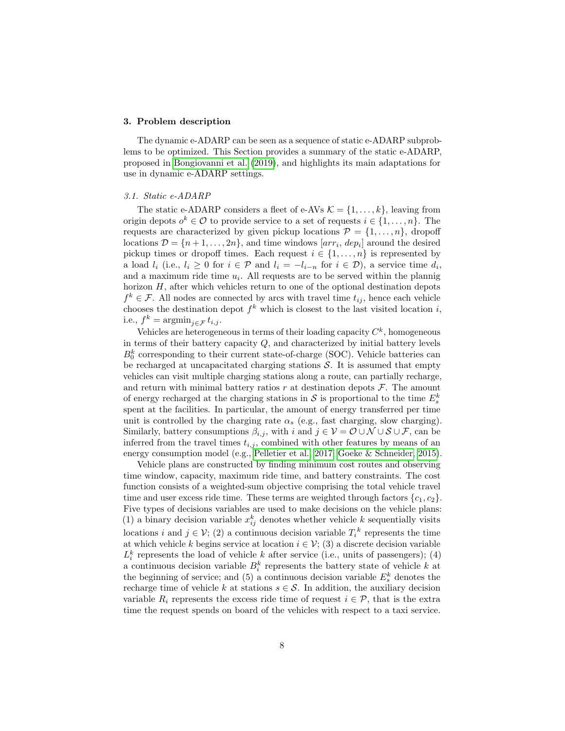## <span id="page-7-0"></span>3. Problem description

The dynamic e-ADARP can be seen as a sequence of static e-ADARP subproblems to be optimized. This Section provides a summary of the static e-ADARP, proposed in [Bongiovanni et al.](#page-34-0) [\(2019\)](#page-34-0), and highlights its main adaptations for use in dynamic e-ADARP settings.

## 3.1. Static e-ADARP

The static e-ADARP considers a fleet of e-AVs  $\mathcal{K} = \{1, \ldots, k\}$ , leaving from origin depots  $o^k \in \mathcal{O}$  to provide service to a set of requests  $i \in \{1, \ldots, n\}$ . The requests are characterized by given pickup locations  $\mathcal{P} = \{1, \ldots, n\}$ , dropoff locations  $\mathcal{D} = \{n+1, \ldots, 2n\}$ , and time windows  $[arr_i, dep_i]$  around the desired pickup times or dropoff times. Each request  $i \in \{1, \ldots, n\}$  is represented by a load  $l_i$  (i.e.,  $l_i \geq 0$  for  $i \in \mathcal{P}$  and  $l_i = -l_{i-n}$  for  $i \in \mathcal{D}$ ), a service time  $d_i$ , and a maximum ride time  $u_i$ . All requests are to be served within the plannig horizon  $H$ , after which vehicles return to one of the optional destination depots  $f^k \in \mathcal{F}$ . All nodes are connected by arcs with travel time  $t_{ij}$ , hence each vehicle chooses the destination depot  $f^k$  which is closest to the last visited location i, i.e.,  $f^k = \operatorname{argmin}_{j \in \mathcal{F}} t_{i,j}$ .

Vehicles are heterogeneous in terms of their loading capacity  $C^k$ , homogeneous in terms of their battery capacity  $Q$ , and characterized by initial battery levels  $B_0^k$  corresponding to their current state-of-charge (SOC). Vehicle batteries can be recharged at uncapacitated charging stations  $S$ . It is assumed that empty vehicles can visit multiple charging stations along a route, can partially recharge, and return with minimal battery ratios r at destination depots  $\mathcal F$ . The amount of energy recharged at the charging stations in  $S$  is proportional to the time  $E_s^k$ spent at the facilities. In particular, the amount of energy transferred per time unit is controlled by the charging rate  $\alpha_s$  (e.g., fast charging, slow charging). Similarly, battery consumptions  $\beta_{i,j}$ , with i and  $j \in \mathcal{V} = \mathcal{O} \cup \mathcal{N} \cup \mathcal{S} \cup \mathcal{F}$ , can be inferred from the travel times  $t_{i,j}$ , combined with other features by means of an energy consumption model (e.g., [Pelletier et al., 2017;](#page-37-12) [Goeke & Schneider, 2015\)](#page-35-8).

Vehicle plans are constructed by finding minimum cost routes and observing time window, capacity, maximum ride time, and battery constraints. The cost function consists of a weighted-sum objective comprising the total vehicle travel time and user excess ride time. These terms are weighted through factors  $\{c_1, c_2\}$ . Five types of decisions variables are used to make decisions on the vehicle plans: (1) a binary decision variable  $x_{ij}^k$  denotes whether vehicle k sequentially visits locations i and  $j \in \mathcal{V}$ ; (2) a continuous decision variable  $T_i^k$  represents the time at which vehicle k begins service at location  $i \in \mathcal{V}$ ; (3) a discrete decision variable  $L_i^k$  represents the load of vehicle k after service (i.e., units of passengers); (4) a continuous decision variable  $B_i^k$  represents the battery state of vehicle k at the beginning of service; and (5) a continuous decision variable  $E_s^k$  denotes the recharge time of vehicle k at stations  $s \in \mathcal{S}$ . In addition, the auxiliary decision variable  $R_i$  represents the excess ride time of request  $i \in \mathcal{P}$ , that is the extra time the request spends on board of the vehicles with respect to a taxi service.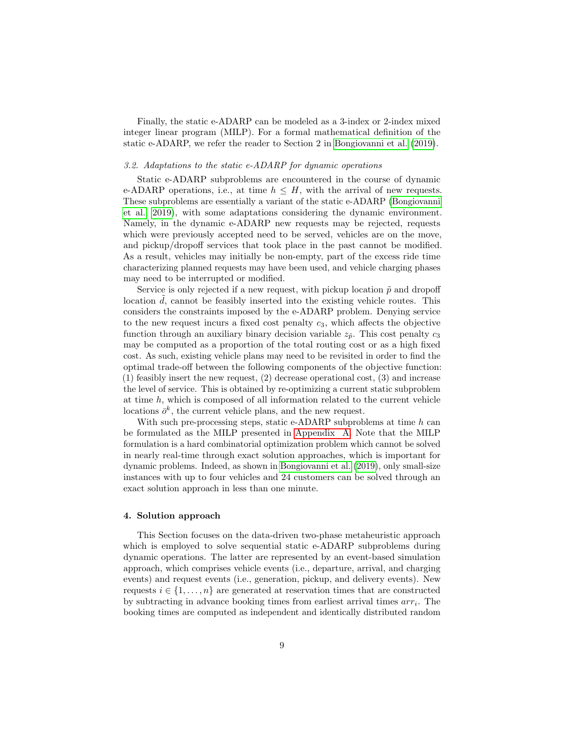Finally, the static e-ADARP can be modeled as a 3-index or 2-index mixed integer linear program (MILP). For a formal mathematical definition of the static e-ADARP, we refer the reader to Section 2 in [Bongiovanni et al.](#page-34-0) [\(2019\)](#page-34-0).

# 3.2. Adaptations to the static e-ADARP for dynamic operations

Static e-ADARP subproblems are encountered in the course of dynamic e-ADARP operations, i.e., at time  $h \leq H$ , with the arrival of new requests. These subproblems are essentially a variant of the static e-ADARP [\(Bongiovanni](#page-34-0) [et al., 2019\)](#page-34-0), with some adaptations considering the dynamic environment. Namely, in the dynamic e-ADARP new requests may be rejected, requests which were previously accepted need to be served, vehicles are on the move, and pickup/dropoff services that took place in the past cannot be modified. As a result, vehicles may initially be non-empty, part of the excess ride time characterizing planned requests may have been used, and vehicle charging phases may need to be interrupted or modified.

Service is only rejected if a new request, with pickup location  $\tilde{p}$  and dropoff location  $d$ , cannot be feasibly inserted into the existing vehicle routes. This considers the constraints imposed by the e-ADARP problem. Denying service to the new request incurs a fixed cost penalty  $c_3$ , which affects the objective function through an auxiliary binary decision variable  $z_{\tilde{p}}$ . This cost penalty  $c_3$ may be computed as a proportion of the total routing cost or as a high fixed cost. As such, existing vehicle plans may need to be revisited in order to find the optimal trade-off between the following components of the objective function: (1) feasibly insert the new request, (2) decrease operational cost, (3) and increase the level of service. This is obtained by re-optimizing a current static subproblem at time h, which is composed of all information related to the current vehicle locations  $\bar{\sigma}^k$ , the current vehicle plans, and the new request.

With such pre-processing steps, static e-ADARP subproblems at time  $h$  can be formulated as the MILP presented in [Appendix A.](#page-39-0) Note that the MILP formulation is a hard combinatorial optimization problem which cannot be solved in nearly real-time through exact solution approaches, which is important for dynamic problems. Indeed, as shown in [Bongiovanni et al.](#page-34-0) [\(2019\)](#page-34-0), only small-size instances with up to four vehicles and 24 customers can be solved through an exact solution approach in less than one minute.

# <span id="page-8-0"></span>4. Solution approach

This Section focuses on the data-driven two-phase metaheuristic approach which is employed to solve sequential static e-ADARP subproblems during dynamic operations. The latter are represented by an event-based simulation approach, which comprises vehicle events (i.e., departure, arrival, and charging events) and request events (i.e., generation, pickup, and delivery events). New requests  $i \in \{1, \ldots, n\}$  are generated at reservation times that are constructed by subtracting in advance booking times from earliest arrival times  $arr<sub>i</sub>$ . The booking times are computed as independent and identically distributed random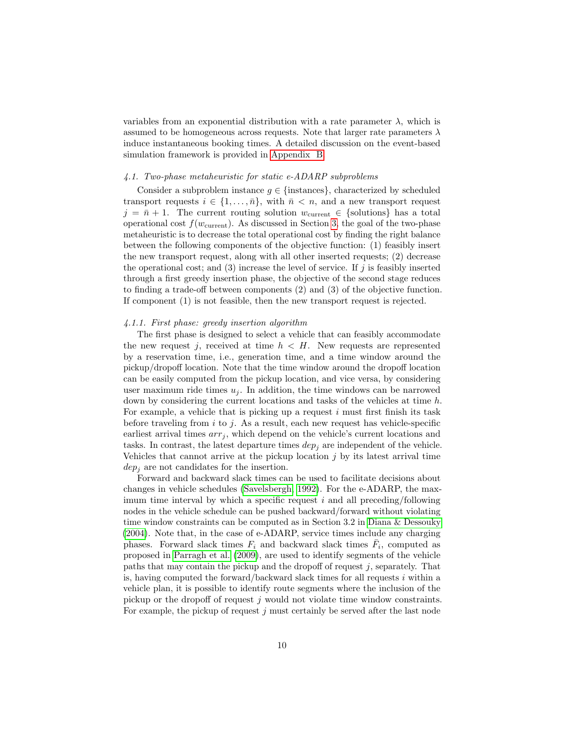variables from an exponential distribution with a rate parameter  $\lambda$ , which is assumed to be homogeneous across requests. Note that larger rate parameters  $\lambda$ induce instantaneous booking times. A detailed discussion on the event-based simulation framework is provided in [Appendix B.](#page-42-0)

## 4.1. Two-phase metaheuristic for static e-ADARP subproblems

Consider a subproblem instance  $g \in \{\text{instances}\}\,$ , characterized by scheduled transport requests  $i \in \{1, \ldots, \bar{n}\},\$  with  $\bar{n} < n$ , and a new transport request  $j = \bar{n} + 1$ . The current routing solution  $w_{\text{current}} \in \{\text{solutions}\}\$  has a total operational cost  $f(w_{\text{current}})$ . As discussed in Section [3,](#page-7-0) the goal of the two-phase metaheuristic is to decrease the total operational cost by finding the right balance between the following components of the objective function: (1) feasibly insert the new transport request, along with all other inserted requests; (2) decrease the operational cost; and (3) increase the level of service. If  $j$  is feasibly inserted through a first greedy insertion phase, the objective of the second stage reduces to finding a trade-off between components (2) and (3) of the objective function. If component (1) is not feasible, then the new transport request is rejected.

## 4.1.1. First phase: greedy insertion algorithm

The first phase is designed to select a vehicle that can feasibly accommodate the new request j, received at time  $h < H$ . New requests are represented by a reservation time, i.e., generation time, and a time window around the pickup/dropoff location. Note that the time window around the dropoff location can be easily computed from the pickup location, and vice versa, by considering user maximum ride times  $u_j$ . In addition, the time windows can be narrowed down by considering the current locations and tasks of the vehicles at time h. For example, a vehicle that is picking up a request  $i$  must first finish its task before traveling from i to j. As a result, each new request has vehicle-specific earliest arrival times  $arr_j$ , which depend on the vehicle's current locations and tasks. In contrast, the latest departure times  $dep_i$  are independent of the vehicle. Vehicles that cannot arrive at the pickup location  $j$  by its latest arrival time  $dep<sub>i</sub>$  are not candidates for the insertion.

Forward and backward slack times can be used to facilitate decisions about changes in vehicle schedules [\(Savelsbergh, 1992\)](#page-38-11). For the e-ADARP, the maximum time interval by which a specific request  $i$  and all preceding/following nodes in the vehicle schedule can be pushed backward/forward without violating time window constraints can be computed as in Section 3.2 in [Diana & Dessouky](#page-34-5) [\(2004\)](#page-34-5). Note that, in the case of e-ADARP, service times include any charging phases. Forward slack times  $F_i$  and backward slack times  $\overline{F}_i$ , computed as proposed in [Parragh et al.](#page-37-4) [\(2009\)](#page-37-4), are used to identify segments of the vehicle paths that may contain the pickup and the dropoff of request  $j$ , separately. That is, having computed the forward/backward slack times for all requests  $i$  within a vehicle plan, it is possible to identify route segments where the inclusion of the pickup or the dropoff of request  $j$  would not violate time window constraints. For example, the pickup of request  $j$  must certainly be served after the last node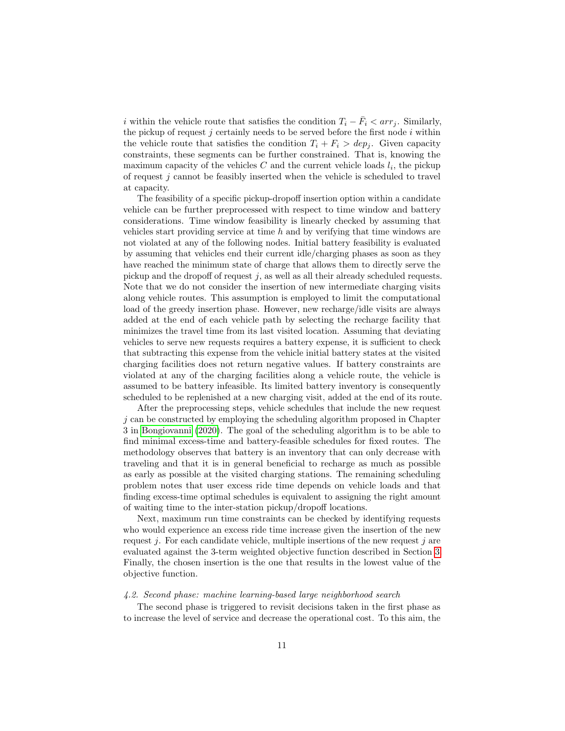i within the vehicle route that satisfies the condition  $T_i - \bar{F}_i < arr_j$ . Similarly, the pickup of request  $j$  certainly needs to be served before the first node  $i$  within the vehicle route that satisfies the condition  $T_i + F_i > dep_i$ . Given capacity constraints, these segments can be further constrained. That is, knowing the maximum capacity of the vehicles  $C$  and the current vehicle loads  $l_i$ , the pickup of request  $j$  cannot be feasibly inserted when the vehicle is scheduled to travel at capacity.

The feasibility of a specific pickup-dropoff insertion option within a candidate vehicle can be further preprocessed with respect to time window and battery considerations. Time window feasibility is linearly checked by assuming that vehicles start providing service at time h and by verifying that time windows are not violated at any of the following nodes. Initial battery feasibility is evaluated by assuming that vehicles end their current idle/charging phases as soon as they have reached the minimum state of charge that allows them to directly serve the pickup and the dropoff of request  $j$ , as well as all their already scheduled requests. Note that we do not consider the insertion of new intermediate charging visits along vehicle routes. This assumption is employed to limit the computational load of the greedy insertion phase. However, new recharge/idle visits are always added at the end of each vehicle path by selecting the recharge facility that minimizes the travel time from its last visited location. Assuming that deviating vehicles to serve new requests requires a battery expense, it is sufficient to check that subtracting this expense from the vehicle initial battery states at the visited charging facilities does not return negative values. If battery constraints are violated at any of the charging facilities along a vehicle route, the vehicle is assumed to be battery infeasible. Its limited battery inventory is consequently scheduled to be replenished at a new charging visit, added at the end of its route.

After the preprocessing steps, vehicle schedules that include the new request  $j$  can be constructed by employing the scheduling algorithm proposed in Chapter 3 in [Bongiovanni](#page-34-1) [\(2020\)](#page-34-1). The goal of the scheduling algorithm is to be able to find minimal excess-time and battery-feasible schedules for fixed routes. The methodology observes that battery is an inventory that can only decrease with traveling and that it is in general beneficial to recharge as much as possible as early as possible at the visited charging stations. The remaining scheduling problem notes that user excess ride time depends on vehicle loads and that finding excess-time optimal schedules is equivalent to assigning the right amount of waiting time to the inter-station pickup/dropoff locations.

Next, maximum run time constraints can be checked by identifying requests who would experience an excess ride time increase given the insertion of the new request j. For each candidate vehicle, multiple insertions of the new request j are evaluated against the 3-term weighted objective function described in Section [3.](#page-7-0) Finally, the chosen insertion is the one that results in the lowest value of the objective function.

# <span id="page-10-0"></span>4.2. Second phase: machine learning-based large neighborhood search

The second phase is triggered to revisit decisions taken in the first phase as to increase the level of service and decrease the operational cost. To this aim, the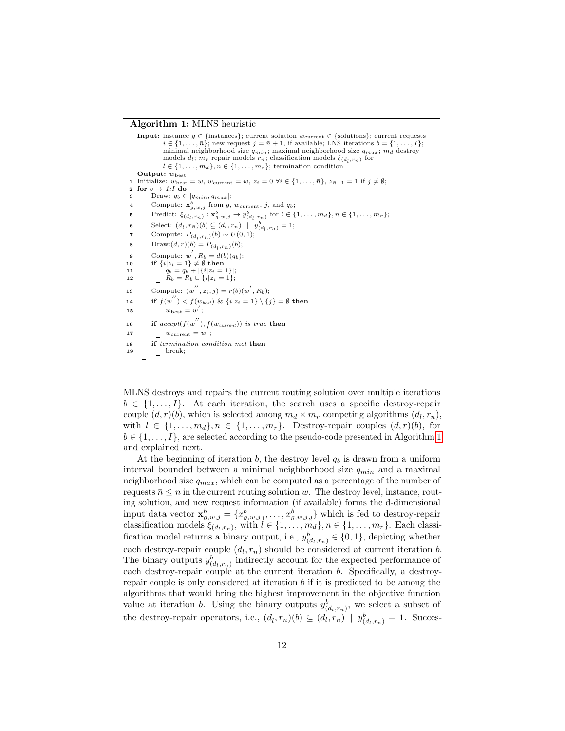#### Algorithm 1: MLNS heuristic

|              | <b>Input:</b> instance $g \in \{\text{instances}\}\;$ current solution $w_{\text{current}} \in \{\text{solutions}\}\;$ current requests<br>$i \in \{1, \ldots, \bar{n}\}$ ; new request $j = \bar{n} + 1$ , if available; LNS iterations $b = \{1, \ldots, I\}$ ;<br>minimal neighborhood size $q_{min}$ ; maximal neighborhood size $q_{max}$ ; m <sub>d</sub> destroy<br>models $d_l$ ; $m_r$ repair models $r_n$ ; classification models $\xi_{(d_l,r_n)}$ for |
|--------------|-------------------------------------------------------------------------------------------------------------------------------------------------------------------------------------------------------------------------------------------------------------------------------------------------------------------------------------------------------------------------------------------------------------------------------------------------------------------|
|              | $l \in \{1, \ldots, m_d\}, n \in \{1, \ldots, m_r\};$ termination condition                                                                                                                                                                                                                                                                                                                                                                                       |
|              | Output: $w_{\text{best}}$                                                                                                                                                                                                                                                                                                                                                                                                                                         |
|              | Initialize: $w_{best} = w$ , $w_{current} = w$ , $z_i = 0 \ \forall i \in \{1, , \bar{n}\}$ , $z_{\bar{n}+1} = 1$ if $j \neq \emptyset$ ;                                                                                                                                                                                                                                                                                                                         |
| $\mathbf{2}$ | for $b \rightarrow 1$ : I do                                                                                                                                                                                                                                                                                                                                                                                                                                      |
| 3            | Draw: $q_b \in  q_{min}, q_{max} $ ;                                                                                                                                                                                                                                                                                                                                                                                                                              |
| 4            | Compute: $\mathbf{x}_{q,w,j}^b$ from g, $\bar{w}_{\text{current}}$ , j, and $q_b$ ;                                                                                                                                                                                                                                                                                                                                                                               |
| 5            | Predict: $\xi_{(d_l,r_n)} : \mathbf{x}_{g,w,j}^b \to y_{(d_l,r_n)}^b$ for $l \in \{1,\ldots,m_d\}, n \in \{1,\ldots,m_r\};$                                                                                                                                                                                                                                                                                                                                       |
| 6            | Select: $(d_{\bar{l}}, r_{\bar{n}})(b) \subseteq (d_l, r_n) \mid y_{(d_l, r_n)}^b = 1;$                                                                                                                                                                                                                                                                                                                                                                           |
| 7            | Compute: $P_{(d_{\bar{I}}, r_{\bar{n}})}(b) \sim U(0, 1);$                                                                                                                                                                                                                                                                                                                                                                                                        |
| 8            | Draw: $(d, r)(b) = P_{(d_{\bar{t}}, r_{\bar{n}})}(b);$                                                                                                                                                                                                                                                                                                                                                                                                            |
| 9            | Compute: $w', R_b = d(b)(q_b)$ ;                                                                                                                                                                                                                                                                                                                                                                                                                                  |
| 10           | if $\{i z_i=1\} \neq \emptyset$ then                                                                                                                                                                                                                                                                                                                                                                                                                              |
| 11           | $\begin{cases} q_b = q_b +  \{i z_i = 1\} ;\\ R_b = R_b \cup \{i z_i = 1\}; \end{cases}$                                                                                                                                                                                                                                                                                                                                                                          |
| 12           |                                                                                                                                                                                                                                                                                                                                                                                                                                                                   |
| 13           | Compute: $(w'', z_i, j) = r(b)(w', R_b);$                                                                                                                                                                                                                                                                                                                                                                                                                         |
| 14           | if $f(w'') < f(w_{best})$ & $\{i   z_i = 1\} \setminus \{j\} = \emptyset$ then                                                                                                                                                                                                                                                                                                                                                                                    |
| 15           | $w_{\text{best}} = w;$                                                                                                                                                                                                                                                                                                                                                                                                                                            |
| 16           | if $accept(f(w''), f(w_{current}))$ is true then                                                                                                                                                                                                                                                                                                                                                                                                                  |
| 17           | $w_{\text{current}} = w$ ;                                                                                                                                                                                                                                                                                                                                                                                                                                        |
| 18           | if termination condition met then                                                                                                                                                                                                                                                                                                                                                                                                                                 |
| 19           | break;                                                                                                                                                                                                                                                                                                                                                                                                                                                            |
|              |                                                                                                                                                                                                                                                                                                                                                                                                                                                                   |

<span id="page-11-0"></span>MLNS destroys and repairs the current routing solution over multiple iterations  $b \in \{1, ..., I\}$ . At each iteration, the search uses a specific destroy-repair couple  $(d, r)(b)$ , which is selected among  $m_d \times m_r$  competing algorithms  $(d_l, r_n)$ , with  $l \in \{1, \ldots, m_d\}, n \in \{1, \ldots, m_r\}$ . Destroy-repair couples  $(d, r)(b)$ , for  $b \in \{1, \ldots, I\}$ , are selected according to the pseudo-code presented in Algorithm [1](#page-11-0) and explained next.

At the beginning of iteration  $b$ , the destroy level  $q_b$  is drawn from a uniform interval bounded between a minimal neighborhood size  $q_{min}$  and a maximal neighborhood size  $q_{max}$ , which can be computed as a percentage of the number of requests  $\bar{n} \leq n$  in the current routing solution w. The destroy level, instance, routing solution, and new request information (if available) forms the d-dimensional input data vector  $\mathbf{x}_{g,w,j}^b = \{x_{g,w,j_1}^b, \ldots, x_{g,w,j_d}^b\}$  which is fed to destroy-repair classification models  $\xi_{(d_l,r_n)}$ , with  $l \in \{1,\ldots,m_d\}, n \in \{1,\ldots,m_r\}$ . Each classification model returns a binary output, i.e.,  $y_{(d_l,r_n)}^b \in \{0,1\}$ , depicting whether each destroy-repair couple  $(d_l, r_n)$  should be considered at current iteration b. The binary outputs  $y_{(d_l,r_n)}^b$  indirectly account for the expected performance of each destroy-repair couple at the current iteration  $b$ . Specifically, a destroyrepair couple is only considered at iteration b if it is predicted to be among the algorithms that would bring the highest improvement in the objective function value at iteration *b*. Using the binary outputs  $y_{(d_l,r_n)}^b$ , we select a subset of the destroy-repair operators, i.e.,  $(d_{\bar{l}}, r_{\bar{n}})(b) \subseteq (d_l, r_n) \mid y^b_{(d_l, r_n)} = 1$ . Succes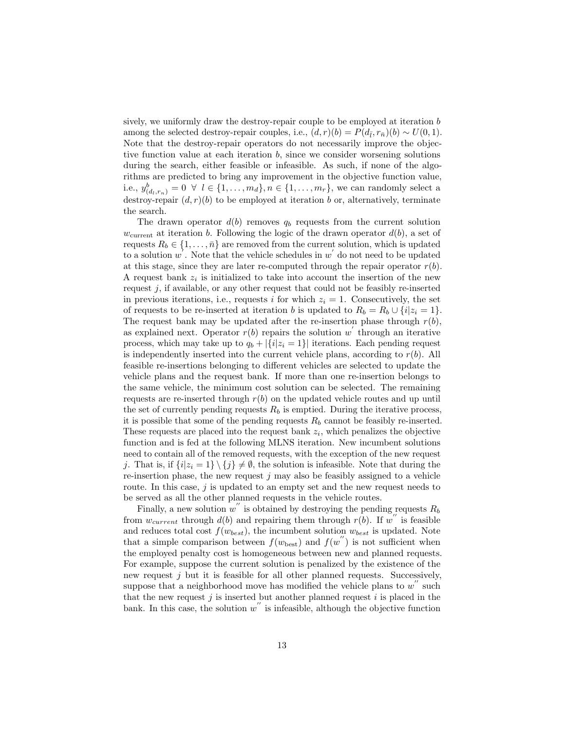sively, we uniformly draw the destroy-repair couple to be employed at iteration b among the selected destroy-repair couples, i.e.,  $(d, r)(b) = P(d_{\bar{l}}, r_{\bar{n}})(b) \sim U(0, 1)$ . Note that the destroy-repair operators do not necessarily improve the objective function value at each iteration  $b$ , since we consider worsening solutions during the search, either feasible or infeasible. As such, if none of the algorithms are predicted to bring any improvement in the objective function value, i.e.,  $y_{(d_l,r_n)}^b = 0 \ \forall \ l \in \{1, ..., m_d\}, n \in \{1, ..., m_r\}$ , we can randomly select a destroy-repair  $(d, r)(b)$  to be employed at iteration b or, alternatively, terminate the search.

The drawn operator  $d(b)$  removes  $q_b$  requests from the current solution  $w_{\text{current}}$  at iteration b. Following the logic of the drawn operator  $d(b)$ , a set of requests  $R_b \in \{1, \ldots, \bar{n}\}\$ are removed from the current solution, which is updated to a solution  $w'$ . Note that the vehicle schedules in  $w'$  do not need to be updated at this stage, since they are later re-computed through the repair operator  $r(b)$ . A request bank  $z_i$  is initialized to take into account the insertion of the new request  $j$ , if available, or any other request that could not be feasibly re-inserted in previous iterations, i.e., requests i for which  $z<sub>i</sub> = 1$ . Consecutively, the set of requests to be re-inserted at iteration b is updated to  $R_b = R_b \cup \{i | z_i = 1\}.$ The request bank may be updated after the re-insertion phase through  $r(b)$ , as explained next. Operator  $r(b)$  repairs the solution w through an iterative process, which may take up to  $q_b + |\{i|z_i = 1\}|$  iterations. Each pending request is independently inserted into the current vehicle plans, according to  $r(b)$ . All feasible re-insertions belonging to different vehicles are selected to update the vehicle plans and the request bank. If more than one re-insertion belongs to the same vehicle, the minimum cost solution can be selected. The remaining requests are re-inserted through  $r(b)$  on the updated vehicle routes and up until the set of currently pending requests  $R_b$  is emptied. During the iterative process, it is possible that some of the pending requests  $R_b$  cannot be feasibly re-inserted. These requests are placed into the request bank  $z_i$ , which penalizes the objective function and is fed at the following MLNS iteration. New incumbent solutions need to contain all of the removed requests, with the exception of the new request j. That is, if  $\{i|z_i = 1\} \setminus \{j\} \neq \emptyset$ , the solution is infeasible. Note that during the re-insertion phase, the new request  $j$  may also be feasibly assigned to a vehicle route. In this case, j is updated to an empty set and the new request needs to be served as all the other planned requests in the vehicle routes.

Finally, a new solution  $w''$  is obtained by destroying the pending requests  $R_b$ from  $w_{current}$  through  $d(b)$  and repairing them through  $r(b)$ . If w'' is feasible and reduces total cost  $f(w_{best})$ , the incumbent solution  $w_{best}$  is updated. Note that a simple comparison between  $f(w_{\text{best}})$  and  $f(w'')$  is not sufficient when the employed penalty cost is homogeneous between new and planned requests. For example, suppose the current solution is penalized by the existence of the new request  $j$  but it is feasible for all other planned requests. Successively, suppose that a neighborhood move has modified the vehicle plans to  $w''$  such that the new request  $j$  is inserted but another planned request  $i$  is placed in the bank. In this case, the solution  $w''$  is infeasible, although the objective function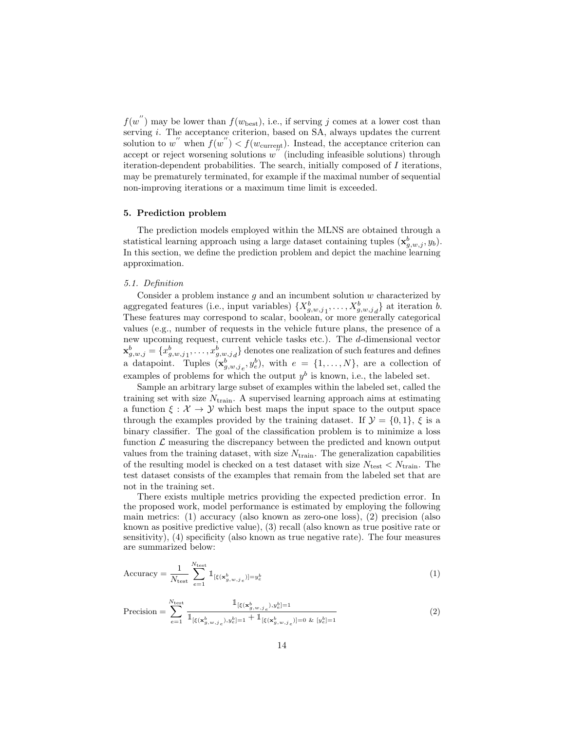$f(w'')$  may be lower than  $f(w_{\text{best}})$ , i.e., if serving j comes at a lower cost than serving *i*. The acceptance criterion, based on SA, always updates the current solution to w'' when  $f(w'') < f(w_{\text{current}}')$ . Instead, the acceptance criterion can  $accept$  or reject worsening solutions  $w''$  (including infeasible solutions) through iteration-dependent probabilities. The search, initially composed of  $I$  iterations, may be prematurely terminated, for example if the maximal number of sequential non-improving iterations or a maximum time limit is exceeded.

## <span id="page-13-0"></span>5. Prediction problem

The prediction models employed within the MLNS are obtained through a statistical learning approach using a large dataset containing tuples  $(\mathbf{x}_{g,w,j}^b, y_b)$ . In this section, we define the prediction problem and depict the machine learning approximation.

# 5.1. Definition

Consider a problem instance q and an incumbent solution  $w$  characterized by aggregated features (i.e., input variables)  $\{X_{g,w,j_1}^b, \ldots, X_{g,w,j_d}^b\}$  at iteration b. These features may correspond to scalar, boolean, or more generally categorical values (e.g., number of requests in the vehicle future plans, the presence of a new upcoming request, current vehicle tasks etc.). The d-dimensional vector  $\mathbf{x}_{g,w,j}^b = \{x_{g,w,j_1}^b, \ldots, x_{g,w,j_d}^b\}$  denotes one realization of such features and defines a datapoint. Tuples  $(\mathbf{x}_{g,w,j_e}^b, y_e^b)$ , with  $e = \{1, ..., N\}$ , are a collection of examples of problems for which the output  $y^b$  is known, i.e., the labeled set.

Sample an arbitrary large subset of examples within the labeled set, called the training set with size  $N_{\text{train}}$ . A supervised learning approach aims at estimating a function  $\xi : \mathcal{X} \to \mathcal{Y}$  which best maps the input space to the output space through the examples provided by the training dataset. If  $\mathcal{Y} = \{0, 1\}$ ,  $\xi$  is a binary classifier. The goal of the classification problem is to minimize a loss function  $\mathcal L$  measuring the discrepancy between the predicted and known output values from the training dataset, with size  $N_{\text{train}}$ . The generalization capabilities of the resulting model is checked on a test dataset with size  $N_{\mathrm{test}} < N_{\mathrm{train}}.$  The test dataset consists of the examples that remain from the labeled set that are not in the training set.

There exists multiple metrics providing the expected prediction error. In the proposed work, model performance is estimated by employing the following main metrics: (1) accuracy (also known as zero-one loss), (2) precision (also known as positive predictive value), (3) recall (also known as true positive rate or sensitivity), (4) specificity (also known as true negative rate). The four measures are summarized below:

$$
\text{Accuracy} = \frac{1}{N_{\text{test}}} \sum_{e=1}^{N_{\text{test}}} \mathbb{1}_{[\xi(\mathbf{x}_{g,w,j_e}^b)] = y_e^b}
$$
\n<sup>(1)</sup>

$$
\text{Precision} = \sum_{e=1}^{N_{\text{test}}} \frac{\mathbb{1}_{[\xi(\mathbf{x}_{g,w,j_e}^b), y_e^b] = 1}}{\mathbb{1}_{[\xi(\mathbf{x}_{g,w,j_e}^b), y_e^b] = 1} + \mathbb{1}_{[\xi(\mathbf{x}_{g,w,j_e}^b)] = 0 \& [y_e^b] = 1}}
$$
(2)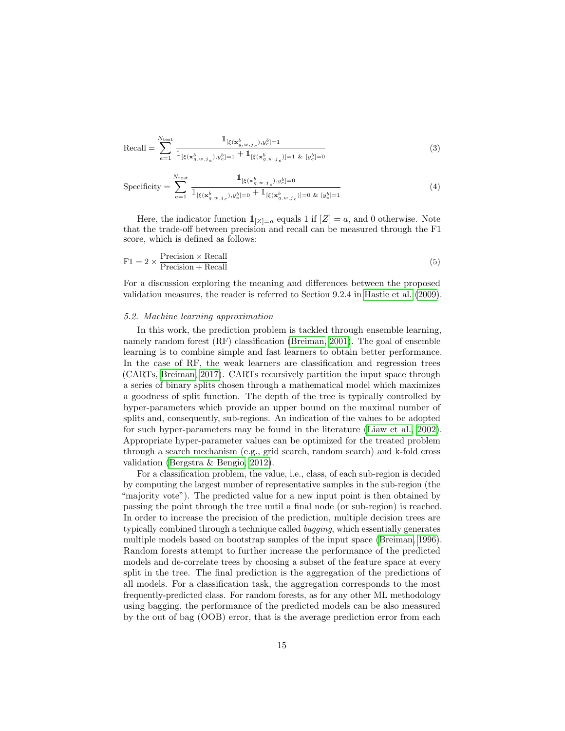$$
\text{Recall} = \sum_{e=1}^{N_{\text{test}}} \frac{\mathbb{1}_{[\xi(\mathbf{x}_{g,w,j_e}^b), y_e^b] = 1}}{\mathbb{1}_{[\xi(\mathbf{x}_{g,w,j_e}^b), y_e^b] = 1} + \mathbb{1}_{[\xi(\mathbf{x}_{g,w,j_e}^b)] = 1 \& [y_e^b] = 0}}
$$
(3)

$$
\text{Specificity} = \sum_{e=1}^{N_{\text{test}}} \frac{\mathbb{1}_{[\xi(\mathbf{x}_{g,w,j_e}^b), y_e^b] = 0}}{\mathbb{1}_{[\xi(\mathbf{x}_{g,w,j_e}^b), y_e^b] = 0} + \mathbb{1}_{[\xi(\mathbf{x}_{g,w,j_e}^b)] = 0 \& [y_e^b] = 1}}
$$
(4)

Here, the indicator function  $\mathbb{1}_{|Z|=a}$  equals 1 if  $[Z]=a$ , and 0 otherwise. Note that the trade-off between precision and recall can be measured through the F1 score, which is defined as follows:

$$
F1 = 2 \times \frac{\text{Precision} \times \text{Recall}}{\text{Precision} + \text{Recall}} \tag{5}
$$

For a discussion exploring the meaning and differences between the proposed validation measures, the reader is referred to Section 9.2.4 in [Hastie et al.](#page-35-13) [\(2009\)](#page-35-13).

#### <span id="page-14-0"></span>5.2. Machine learning approximation

In this work, the prediction problem is tackled through ensemble learning, namely random forest (RF) classification [\(Breiman, 2001\)](#page-34-10). The goal of ensemble learning is to combine simple and fast learners to obtain better performance. In the case of RF, the weak learners are classification and regression trees (CARTs, [Breiman, 2017\)](#page-34-11). CARTs recursively partition the input space through a series of binary splits chosen through a mathematical model which maximizes a goodness of split function. The depth of the tree is typically controlled by hyper-parameters which provide an upper bound on the maximal number of splits and, consequently, sub-regions. An indication of the values to be adopted for such hyper-parameters may be found in the literature [\(Liaw et al., 2002\)](#page-36-11). Appropriate hyper-parameter values can be optimized for the treated problem through a search mechanism (e.g., grid search, random search) and k-fold cross validation [\(Bergstra & Bengio, 2012\)](#page-33-12).

For a classification problem, the value, i.e., class, of each sub-region is decided by computing the largest number of representative samples in the sub-region (the "majority vote"). The predicted value for a new input point is then obtained by passing the point through the tree until a final node (or sub-region) is reached. In order to increase the precision of the prediction, multiple decision trees are typically combined through a technique called bagging, which essentially generates multiple models based on bootstrap samples of the input space [\(Breiman, 1996\)](#page-34-12). Random forests attempt to further increase the performance of the predicted models and de-correlate trees by choosing a subset of the feature space at every split in the tree. The final prediction is the aggregation of the predictions of all models. For a classification task, the aggregation corresponds to the most frequently-predicted class. For random forests, as for any other ML methodology using bagging, the performance of the predicted models can be also measured by the out of bag (OOB) error, that is the average prediction error from each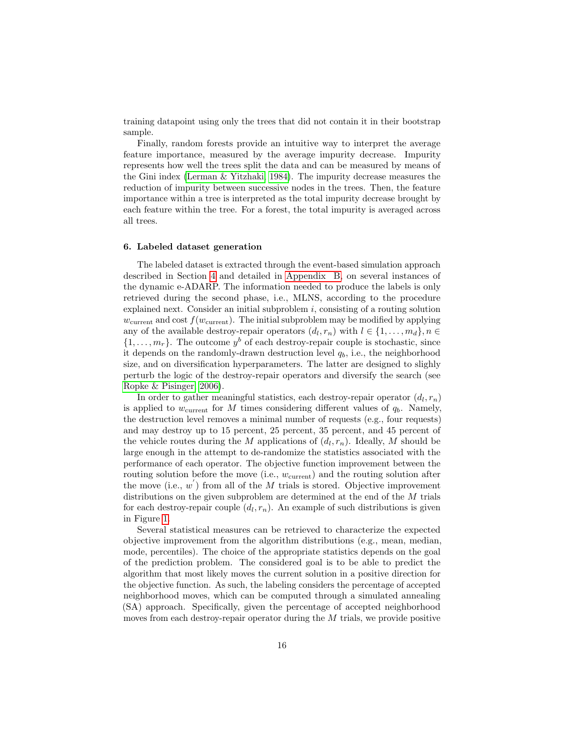training datapoint using only the trees that did not contain it in their bootstrap sample.

Finally, random forests provide an intuitive way to interpret the average feature importance, measured by the average impurity decrease. Impurity represents how well the trees split the data and can be measured by means of the Gini index [\(Lerman & Yitzhaki, 1984\)](#page-36-12). The impurity decrease measures the reduction of impurity between successive nodes in the trees. Then, the feature importance within a tree is interpreted as the total impurity decrease brought by each feature within the tree. For a forest, the total impurity is averaged across all trees.

#### <span id="page-15-0"></span>6. Labeled dataset generation

The labeled dataset is extracted through the event-based simulation approach described in Section [4](#page-8-0) and detailed in [Appendix B,](#page-42-0) on several instances of the dynamic e-ADARP. The information needed to produce the labels is only retrieved during the second phase, i.e., MLNS, according to the procedure explained next. Consider an initial subproblem  $i$ , consisting of a routing solution  $w_{\text{current}}$  and cost  $f(w_{\text{current}})$ . The initial subproblem may be modified by applying any of the available destroy-repair operators  $(d_l, r_n)$  with  $l \in \{1, ..., m_d\}, n \in$  $\{1, \ldots, m_r\}$ . The outcome  $y^b$  of each destroy-repair couple is stochastic, since it depends on the randomly-drawn destruction level  $q_b$ , i.e., the neighborhood size, and on diversification hyperparameters. The latter are designed to slighly perturb the logic of the destroy-repair operators and diversify the search (see [Ropke & Pisinger, 2006\)](#page-37-1).

In order to gather meaningful statistics, each destroy-repair operator  $(d_l, r_n)$ is applied to  $w_{\text{current}}$  for M times considering different values of  $q_b$ . Namely, the destruction level removes a minimal number of requests (e.g., four requests) and may destroy up to 15 percent, 25 percent, 35 percent, and 45 percent of the vehicle routes during the M applications of  $(d_l, r_n)$ . Ideally, M should be large enough in the attempt to de-randomize the statistics associated with the performance of each operator. The objective function improvement between the routing solution before the move (i.e.,  $w_{\text{current}}$ ) and the routing solution after the move (i.e.,  $w'$ ) from all of the M trials is stored. Objective improvement distributions on the given subproblem are determined at the end of the M trials for each destroy-repair couple  $(d_l, r_n)$ . An example of such distributions is given in Figure [1.](#page-16-1)

Several statistical measures can be retrieved to characterize the expected objective improvement from the algorithm distributions (e.g., mean, median, mode, percentiles). The choice of the appropriate statistics depends on the goal of the prediction problem. The considered goal is to be able to predict the algorithm that most likely moves the current solution in a positive direction for the objective function. As such, the labeling considers the percentage of accepted neighborhood moves, which can be computed through a simulated annealing (SA) approach. Specifically, given the percentage of accepted neighborhood moves from each destroy-repair operator during the M trials, we provide positive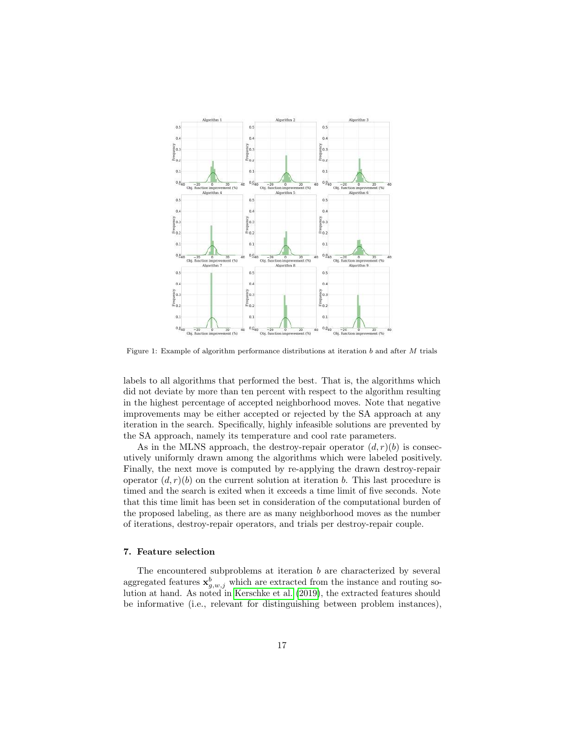<span id="page-16-1"></span>

Figure 1: Example of algorithm performance distributions at iteration b and after M trials

labels to all algorithms that performed the best. That is, the algorithms which did not deviate by more than ten percent with respect to the algorithm resulting in the highest percentage of accepted neighborhood moves. Note that negative improvements may be either accepted or rejected by the SA approach at any iteration in the search. Specifically, highly infeasible solutions are prevented by the SA approach, namely its temperature and cool rate parameters.

As in the MLNS approach, the destroy-repair operator  $(d, r)(b)$  is consecutively uniformly drawn among the algorithms which were labeled positively. Finally, the next move is computed by re-applying the drawn destroy-repair operator  $(d, r)(b)$  on the current solution at iteration b. This last procedure is timed and the search is exited when it exceeds a time limit of five seconds. Note that this time limit has been set in consideration of the computational burden of the proposed labeling, as there are as many neighborhood moves as the number of iterations, destroy-repair operators, and trials per destroy-repair couple.

# <span id="page-16-0"></span>7. Feature selection

The encountered subproblems at iteration  $b$  are characterized by several aggregated features  $\mathbf{x}_{g,w,j}^b$  which are extracted from the instance and routing solution at hand. As noted in [Kerschke et al.](#page-36-7) [\(2019\)](#page-36-7), the extracted features should be informative (i.e., relevant for distinguishing between problem instances),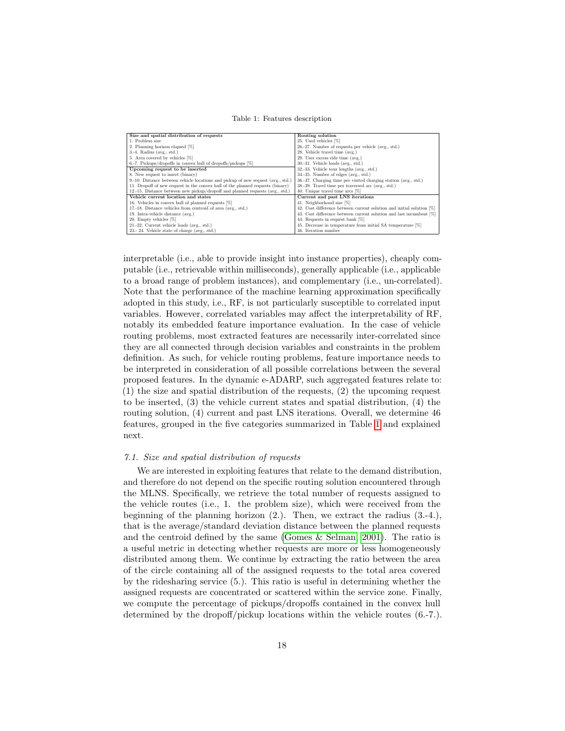Table 1: Features description

<span id="page-17-0"></span>

| Size and spatial distribution of requests                                        | Routing solution                                                      |
|----------------------------------------------------------------------------------|-----------------------------------------------------------------------|
| 1. Problem size                                                                  | 25. Used vehicles [%]                                                 |
| 2. Planning horizon elapsed [%]                                                  | 26.-27. Number of requests per vehicle (avg., std.)                   |
| $3.-4.$ Radius (avg., std.)                                                      | 28. Vehicle travel time (avg.)                                        |
| 5. Area covered by vehicles [%]                                                  | 29. User excess ride time (avg.)                                      |
| 6.-7. Pickups/dropoffs in convex hull of dropoffs/pickups [%]                    | $30.-31$ . Vehicle loads (avg., std.)                                 |
| Upcoming request to be inserted                                                  | 32.-33. Vehicle tour lengths (avg., std.)                             |
| 8. New request to insert (binary)                                                | 34.-35. Number of edges (avg., std.)                                  |
| 9.-10. Distance between vehicle locations and pickup of new request (avg., std.) | 36.-37. Charging time per visited charging station (avg., std.)       |
| 11. Dropoff of new request in the convex hull of the planned requests (binary)   | 38.-39. Travel time per traversed arc (avg., std.)                    |
| 12.-15. Distance between new pickup/dropoff and planned requests (avg., std.)    | 40. Unique travel time arcs [%]                                       |
| Vehicle current location and states                                              | Current and past LNS iterations                                       |
| 16. Vehicles in convex hull of planned requests [%]                              | 41. Neighborhood size [%]                                             |
| 17.-18. Distance vehicles from centroid of area (avg., std.)                     | 42. Cost difference between current solution and initial solution [%] |
| 19. Intra-vehicle distance (avg.)                                                | 43. Cost difference between current solution and last incumbent [%]   |
| 20. Empty vehicles [%]                                                           | 44. Requests in request bank [%]                                      |
| 21.-22. Current vehicle loads (avg., std.)                                       | 45. Decrease in temperature from initial SA temperature [%]           |
| 23.- 24. Vehicle state of charge (avg., std.)                                    | 46. Iteration number                                                  |

interpretable (i.e., able to provide insight into instance properties), cheaply computable (i.e., retrievable within milliseconds), generally applicable (i.e., applicable to a broad range of problem instances), and complementary (i.e., un-correlated). Note that the performance of the machine learning approximation specifically adopted in this study, i.e., RF, is not particularly susceptible to correlated input variables. However, correlated variables may affect the interpretability of RF, notably its embedded feature importance evaluation. In the case of vehicle routing problems, most extracted features are necessarily inter-correlated since they are all connected through decision variables and constraints in the problem definition. As such, for vehicle routing problems, feature importance needs to be interpreted in consideration of all possible correlations between the several proposed features. In the dynamic e-ADARP, such aggregated features relate to: (1) the size and spatial distribution of the requests, (2) the upcoming request to be inserted, (3) the vehicle current states and spatial distribution, (4) the routing solution, (4) current and past LNS iterations. Overall, we determine 46 features, grouped in the five categories summarized in Table [1](#page-17-0) and explained next.

## 7.1. Size and spatial distribution of requests

We are interested in exploiting features that relate to the demand distribution, and therefore do not depend on the specific routing solution encountered through the MLNS. Specifically, we retrieve the total number of requests assigned to the vehicle routes (i.e., 1. the problem size), which were received from the beginning of the planning horizon (2.). Then, we extract the radius (3.-4.), that is the average/standard deviation distance between the planned requests and the centroid defined by the same [\(Gomes & Selman, 2001\)](#page-35-10). The ratio is a useful metric in detecting whether requests are more or less homogeneously distributed among them. We continue by extracting the ratio between the area of the circle containing all of the assigned requests to the total area covered by the ridesharing service (5.). This ratio is useful in determining whether the assigned requests are concentrated or scattered within the service zone. Finally, we compute the percentage of pickups/dropoffs contained in the convex hull determined by the dropoff/pickup locations within the vehicle routes (6.-7.).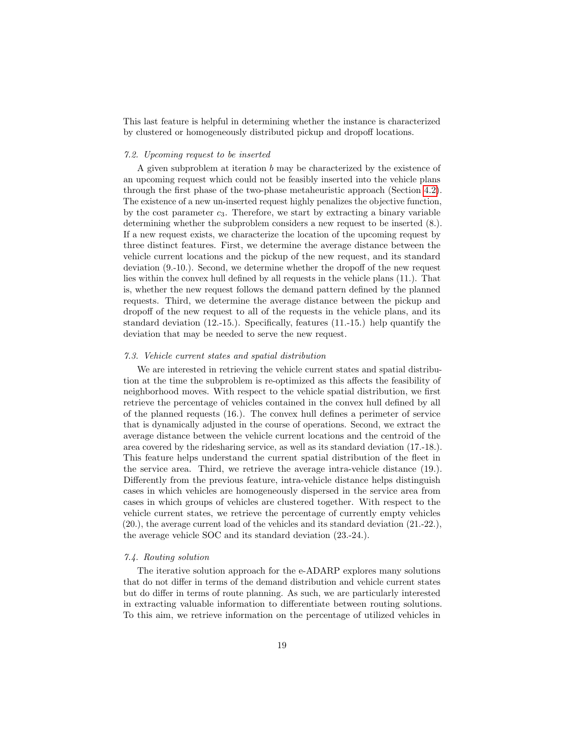This last feature is helpful in determining whether the instance is characterized by clustered or homogeneously distributed pickup and dropoff locations.

#### 7.2. Upcoming request to be inserted

A given subproblem at iteration b may be characterized by the existence of an upcoming request which could not be feasibly inserted into the vehicle plans through the first phase of the two-phase metaheuristic approach (Section [4.2\)](#page-10-0). The existence of a new un-inserted request highly penalizes the objective function, by the cost parameter  $c_3$ . Therefore, we start by extracting a binary variable determining whether the subproblem considers a new request to be inserted (8.). If a new request exists, we characterize the location of the upcoming request by three distinct features. First, we determine the average distance between the vehicle current locations and the pickup of the new request, and its standard deviation (9.-10.). Second, we determine whether the dropoff of the new request lies within the convex hull defined by all requests in the vehicle plans (11.). That is, whether the new request follows the demand pattern defined by the planned requests. Third, we determine the average distance between the pickup and dropoff of the new request to all of the requests in the vehicle plans, and its standard deviation (12.-15.). Specifically, features (11.-15.) help quantify the deviation that may be needed to serve the new request.

## 7.3. Vehicle current states and spatial distribution

We are interested in retrieving the vehicle current states and spatial distribution at the time the subproblem is re-optimized as this affects the feasibility of neighborhood moves. With respect to the vehicle spatial distribution, we first retrieve the percentage of vehicles contained in the convex hull defined by all of the planned requests (16.). The convex hull defines a perimeter of service that is dynamically adjusted in the course of operations. Second, we extract the average distance between the vehicle current locations and the centroid of the area covered by the ridesharing service, as well as its standard deviation (17.-18.). This feature helps understand the current spatial distribution of the fleet in the service area. Third, we retrieve the average intra-vehicle distance (19.). Differently from the previous feature, intra-vehicle distance helps distinguish cases in which vehicles are homogeneously dispersed in the service area from cases in which groups of vehicles are clustered together. With respect to the vehicle current states, we retrieve the percentage of currently empty vehicles (20.), the average current load of the vehicles and its standard deviation (21.-22.), the average vehicle SOC and its standard deviation (23.-24.).

## 7.4. Routing solution

The iterative solution approach for the e-ADARP explores many solutions that do not differ in terms of the demand distribution and vehicle current states but do differ in terms of route planning. As such, we are particularly interested in extracting valuable information to differentiate between routing solutions. To this aim, we retrieve information on the percentage of utilized vehicles in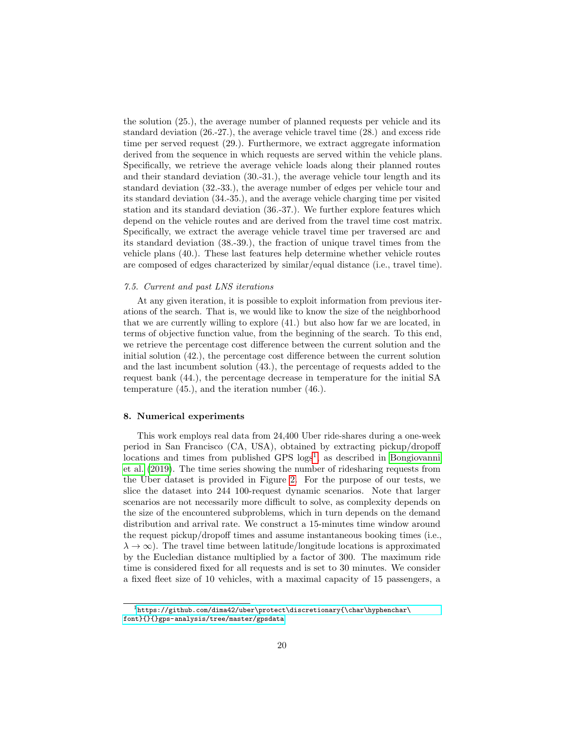the solution (25.), the average number of planned requests per vehicle and its standard deviation (26.-27.), the average vehicle travel time (28.) and excess ride time per served request (29.). Furthermore, we extract aggregate information derived from the sequence in which requests are served within the vehicle plans. Specifically, we retrieve the average vehicle loads along their planned routes and their standard deviation (30.-31.), the average vehicle tour length and its standard deviation (32.-33.), the average number of edges per vehicle tour and its standard deviation (34.-35.), and the average vehicle charging time per visited station and its standard deviation (36.-37.). We further explore features which depend on the vehicle routes and are derived from the travel time cost matrix. Specifically, we extract the average vehicle travel time per traversed arc and its standard deviation (38.-39.), the fraction of unique travel times from the vehicle plans (40.). These last features help determine whether vehicle routes are composed of edges characterized by similar/equal distance (i.e., travel time).

# 7.5. Current and past LNS iterations

At any given iteration, it is possible to exploit information from previous iterations of the search. That is, we would like to know the size of the neighborhood that we are currently willing to explore (41.) but also how far we are located, in terms of objective function value, from the beginning of the search. To this end, we retrieve the percentage cost difference between the current solution and the initial solution (42.), the percentage cost difference between the current solution and the last incumbent solution (43.), the percentage of requests added to the request bank (44.), the percentage decrease in temperature for the initial SA temperature (45.), and the iteration number (46.).

# <span id="page-19-0"></span>8. Numerical experiments

This work employs real data from 24,400 Uber ride-shares during a one-week period in San Francisco (CA, USA), obtained by extracting pickup/dropoff locations and times from published GPS logs<sup>[1](#page-19-1)</sup>, as described in [Bongiovanni](#page-34-0) [et al.](#page-34-0) [\(2019\)](#page-34-0). The time series showing the number of ridesharing requests from the Uber dataset is provided in Figure [2.](#page-20-0) For the purpose of our tests, we slice the dataset into 244 100-request dynamic scenarios. Note that larger scenarios are not necessarily more difficult to solve, as complexity depends on the size of the encountered subproblems, which in turn depends on the demand distribution and arrival rate. We construct a 15-minutes time window around the request pickup/dropoff times and assume instantaneous booking times (i.e.,  $\lambda \to \infty$ ). The travel time between latitude/longitude locations is approximated by the Eucledian distance multiplied by a factor of 300. The maximum ride time is considered fixed for all requests and is set to 30 minutes. We consider a fixed fleet size of 10 vehicles, with a maximal capacity of 15 passengers, a

<span id="page-19-1"></span> $1$ [https://github.com/dima42/uber\protect\discretionary{\char\hyphenchar\](https://github.com/dima42/uber\protect \discretionary {\char \hyphenchar \font }{}{}gps-analysis/tree/master/gpsdata) [font}{}{}gps-analysis/tree/master/gpsdata](https://github.com/dima42/uber\protect \discretionary {\char \hyphenchar \font }{}{}gps-analysis/tree/master/gpsdata)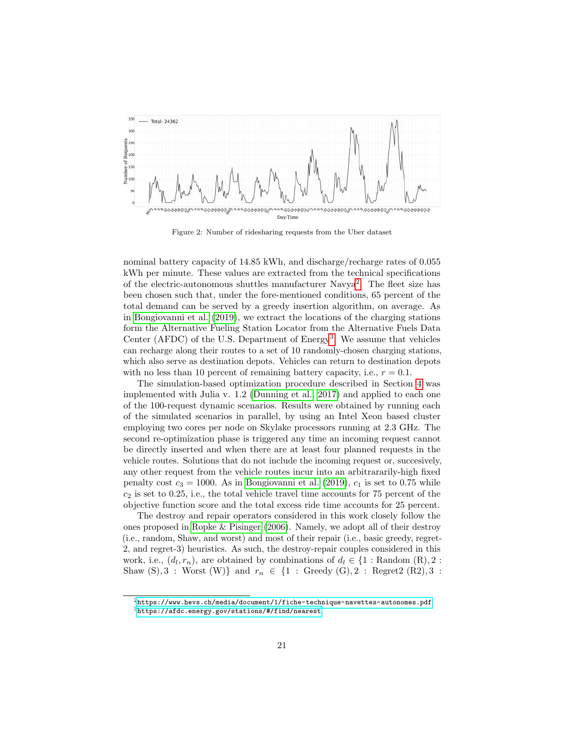<span id="page-20-0"></span>

Figure 2: Number of ridesharing requests from the Uber dataset

nominal battery capacity of 14.85 kWh, and discharge/recharge rates of 0.055 kWh per minute. These values are extracted from the technical specifications of the electric-autonomous shuttles manufacturer Navya<sup>[2](#page-20-1)</sup>. The fleet size has been chosen such that, under the fore-mentioned conditions, 65 percent of the total demand can be served by a greedy insertion algorithm, on average. As in [Bongiovanni et al.](#page-34-0) [\(2019\)](#page-34-0), we extract the locations of the charging stations form the Alternative Fueling Station Locator from the Alternative Fuels Data Center (AFDC) of the U.S. Department of Energy<sup>[3](#page-20-2)</sup>. We assume that vehicles can recharge along their routes to a set of 10 randomly-chosen charging stations, which also serve as destination depots. Vehicles can return to destination depots with no less than 10 percent of remaining battery capacity, i.e.,  $r = 0.1$ .

The simulation-based optimization procedure described in Section [4](#page-8-0) was implemented with Julia v. 1.2 [\(Dunning et al., 2017\)](#page-34-13) and applied to each one of the 100-request dynamic scenarios. Results were obtained by running each of the simulated scenarios in parallel, by using an Intel Xeon based cluster employing two cores per node on Skylake processors running at 2.3 GHz. The second re-optimization phase is triggered any time an incoming request cannot be directly inserted and when there are at least four planned requests in the vehicle routes. Solutions that do not include the incoming request or, succesively, any other request from the vehicle routes incur into an arbitrararily-high fixed penalty cost  $c_3 = 1000$ . As in [Bongiovanni et al.](#page-34-0) [\(2019\)](#page-34-0),  $c_1$  is set to 0.75 while  $c_2$  is set to 0.25, i.e., the total vehicle travel time accounts for 75 percent of the objective function score and the total excess ride time accounts for 25 percent.

The destroy and repair operators considered in this work closely follow the ones proposed in [Ropke & Pisinger](#page-37-1) [\(2006\)](#page-37-1). Namely, we adopt all of their destroy (i.e., random, Shaw, and worst) and most of their repair (i.e., basic greedy, regret-2, and regret-3) heuristics. As such, the destroy-repair couples considered in this work, i.e.,  $(d_l, r_n)$ , are obtained by combinations of  $d_l \in \{1 : \text{Random } (R), 2 : \}$ Shaw  $(S), 3$ : Worst  $(W)$ } and  $r_n \in \{1 : \text{Greedy } (G), 2 : \text{Regret2 } (R2), 3 : \text{Regret2 } (R2) \}$ 

<span id="page-20-2"></span><span id="page-20-1"></span> $^{2}$ <https://www.hevs.ch/media/document/1/fiche-technique-navettes-autonomes.pdf>  $3$ [https://afdc.energy.gov/stations/#/find/nearest](https://afdc.energy.gov/stations/##/find/nearest)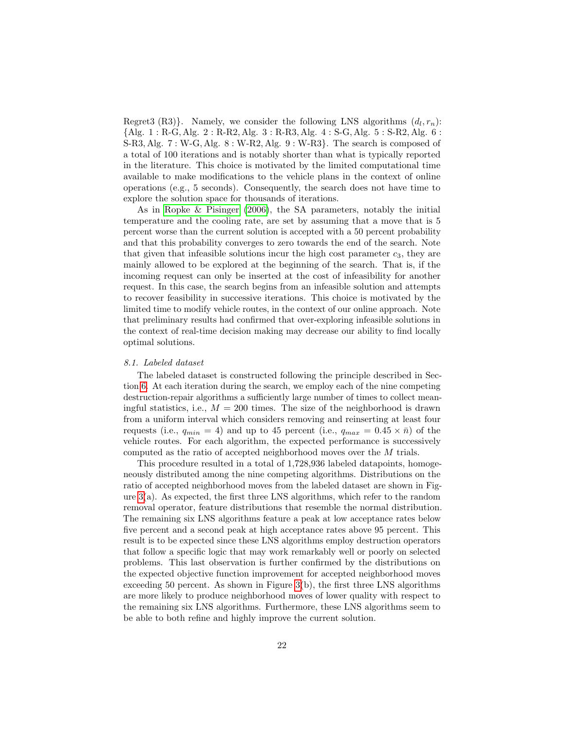Regret3 (R3). Namely, we consider the following LNS algorithms  $(d_l, r_n)$ : {Alg. 1 : R-G, Alg. 2 : R-R2, Alg. 3 : R-R3, Alg. 4 : S-G, Alg. 5 : S-R2, Alg. 6 :  $S-R3, Alg. 7: W-G, Alg. 8: W-R2, Alg. 9: W-R3$ . The search is composed of a total of 100 iterations and is notably shorter than what is typically reported in the literature. This choice is motivated by the limited computational time available to make modifications to the vehicle plans in the context of online operations (e.g., 5 seconds). Consequently, the search does not have time to explore the solution space for thousands of iterations.

As in [Ropke & Pisinger](#page-37-1) [\(2006\)](#page-37-1), the SA parameters, notably the initial temperature and the cooling rate, are set by assuming that a move that is 5 percent worse than the current solution is accepted with a 50 percent probability and that this probability converges to zero towards the end of the search. Note that given that infeasible solutions incur the high cost parameter  $c_3$ , they are mainly allowed to be explored at the beginning of the search. That is, if the incoming request can only be inserted at the cost of infeasibility for another request. In this case, the search begins from an infeasible solution and attempts to recover feasibility in successive iterations. This choice is motivated by the limited time to modify vehicle routes, in the context of our online approach. Note that preliminary results had confirmed that over-exploring infeasible solutions in the context of real-time decision making may decrease our ability to find locally optimal solutions.

#### 8.1. Labeled dataset

The labeled dataset is constructed following the principle described in Section [6.](#page-15-0) At each iteration during the search, we employ each of the nine competing destruction-repair algorithms a sufficiently large number of times to collect meaningful statistics, i.e.,  $M = 200$  times. The size of the neighborhood is drawn from a uniform interval which considers removing and reinserting at least four requests (i.e.,  $q_{min} = 4$ ) and up to 45 percent (i.e.,  $q_{max} = 0.45 \times \bar{n}$ ) of the vehicle routes. For each algorithm, the expected performance is successively computed as the ratio of accepted neighborhood moves over the M trials.

This procedure resulted in a total of 1,728,936 labeled datapoints, homogeneously distributed among the nine competing algorithms. Distributions on the ratio of accepted neighborhood moves from the labeled dataset are shown in Figure [3\(](#page-22-0)a). As expected, the first three LNS algorithms, which refer to the random removal operator, feature distributions that resemble the normal distribution. The remaining six LNS algorithms feature a peak at low acceptance rates below five percent and a second peak at high acceptance rates above 95 percent. This result is to be expected since these LNS algorithms employ destruction operators that follow a specific logic that may work remarkably well or poorly on selected problems. This last observation is further confirmed by the distributions on the expected objective function improvement for accepted neighborhood moves exceeding 50 percent. As shown in Figure  $3(b)$ , the first three LNS algorithms are more likely to produce neighborhood moves of lower quality with respect to the remaining six LNS algorithms. Furthermore, these LNS algorithms seem to be able to both refine and highly improve the current solution.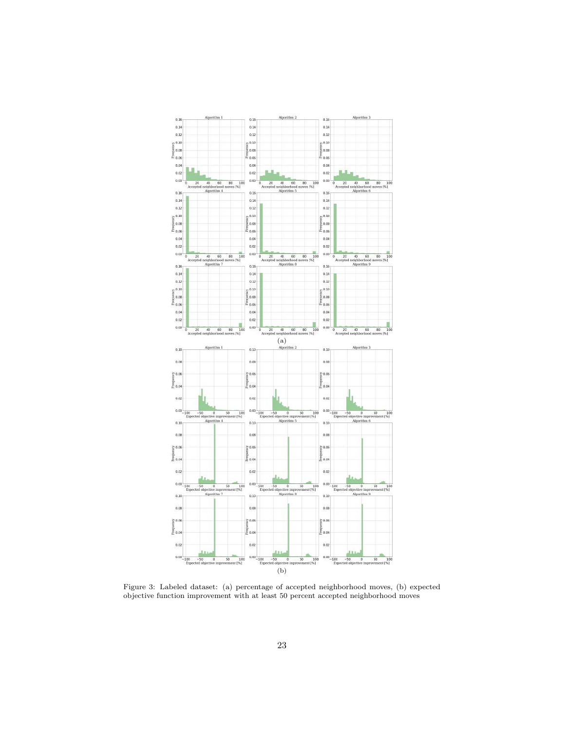<span id="page-22-0"></span>

Figure 3: Labeled dataset: (a) percentage of accepted neighborhood moves, (b) expected objective function improvement with at least 50 percent accepted neighborhood moves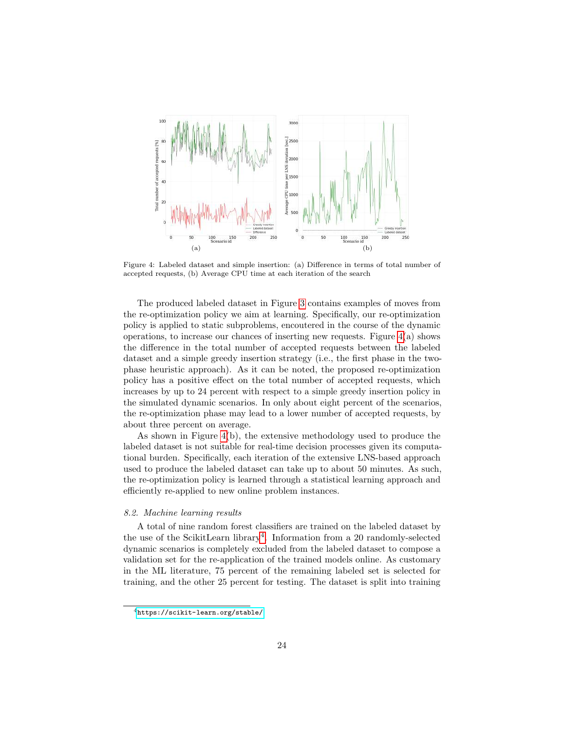<span id="page-23-0"></span>

Figure 4: Labeled dataset and simple insertion: (a) Difference in terms of total number of accepted requests, (b) Average CPU time at each iteration of the search

The produced labeled dataset in Figure [3](#page-22-0) contains examples of moves from the re-optimization policy we aim at learning. Specifically, our re-optimization policy is applied to static subproblems, encoutered in the course of the dynamic operations, to increase our chances of inserting new requests. Figure  $4(a)$  shows the difference in the total number of accepted requests between the labeled dataset and a simple greedy insertion strategy (i.e., the first phase in the twophase heuristic approach). As it can be noted, the proposed re-optimization policy has a positive effect on the total number of accepted requests, which increases by up to 24 percent with respect to a simple greedy insertion policy in the simulated dynamic scenarios. In only about eight percent of the scenarios, the re-optimization phase may lead to a lower number of accepted requests, by about three percent on average.

As shown in Figure [4\(](#page-23-0)b), the extensive methodology used to produce the labeled dataset is not suitable for real-time decision processes given its computational burden. Specifically, each iteration of the extensive LNS-based approach used to produce the labeled dataset can take up to about 50 minutes. As such, the re-optimization policy is learned through a statistical learning approach and efficiently re-applied to new online problem instances.

# 8.2. Machine learning results

A total of nine random forest classifiers are trained on the labeled dataset by the use of the ScikitLearn library<sup>[4](#page-23-1)</sup>. Information from a 20 randomly-selected dynamic scenarios is completely excluded from the labeled dataset to compose a validation set for the re-application of the trained models online. As customary in the ML literature, 75 percent of the remaining labeled set is selected for training, and the other 25 percent for testing. The dataset is split into training

<span id="page-23-1"></span><sup>4</sup><https://scikit-learn.org/stable/>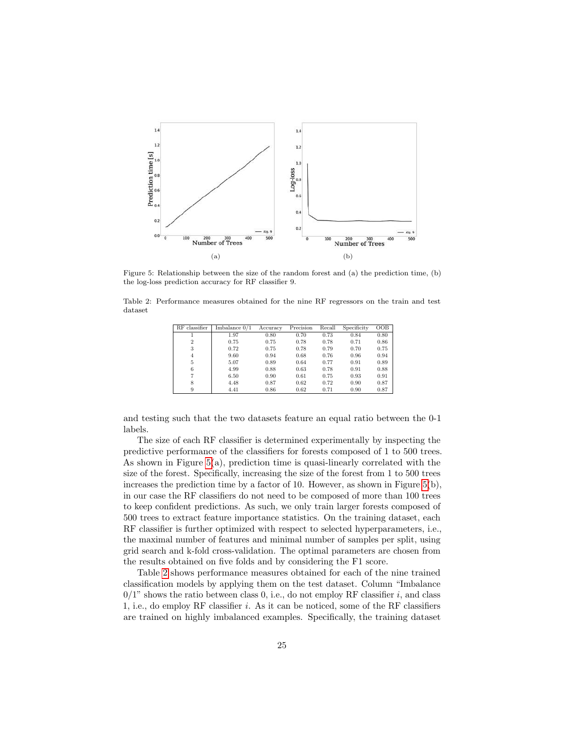<span id="page-24-0"></span>

Figure 5: Relationship between the size of the random forest and (a) the prediction time, (b) the log-loss prediction accuracy for RF classifier 9.

<span id="page-24-1"></span>Table 2: Performance measures obtained for the nine RF regressors on the train and test dataset

| RF classifier  | Imbalance $0/1$ | Accuracy | Precision | Recall | Specificity | OOB  |
|----------------|-----------------|----------|-----------|--------|-------------|------|
|                | 1.97            | 0.80     | 0.70      | 0.73   | 0.84        | 0.80 |
| $\overline{2}$ | 0.75            | 0.75     | 0.78      | 0.78   | 0.71        | 0.86 |
| 3              | 0.72            | 0.75     | 0.78      | 0.79   | 0.70        | 0.75 |
| $\overline{4}$ | 9.60            | 0.94     | 0.68      | 0.76   | 0.96        | 0.94 |
| 5              | 5.07            | 0.89     | 0.64      | 0.77   | 0.91        | 0.89 |
| 6              | 4.99            | 0.88     | 0.63      | 0.78   | 0.91        | 0.88 |
| 7              | 6.50            | 0.90     | 0.61      | 0.75   | 0.93        | 0.91 |
| 8              | 4.48            | 0.87     | 0.62      | 0.72   | 0.90        | 0.87 |
| 9              | 4.41            | 0.86     | 0.62      | 0.71   | 0.90        | 0.87 |

and testing such that the two datasets feature an equal ratio between the 0-1 labels.

The size of each RF classifier is determined experimentally by inspecting the predictive performance of the classifiers for forests composed of 1 to 500 trees. As shown in Figure [5\(](#page-24-0)a), prediction time is quasi-linearly correlated with the size of the forest. Specifically, increasing the size of the forest from 1 to 500 trees increases the prediction time by a factor of 10. However, as shown in Figure  $5(b)$ , in our case the RF classifiers do not need to be composed of more than 100 trees to keep confident predictions. As such, we only train larger forests composed of 500 trees to extract feature importance statistics. On the training dataset, each RF classifier is further optimized with respect to selected hyperparameters, i.e., the maximal number of features and minimal number of samples per split, using grid search and k-fold cross-validation. The optimal parameters are chosen from the results obtained on five folds and by considering the F1 score.

Table [2](#page-24-1) shows performance measures obtained for each of the nine trained classification models by applying them on the test dataset. Column "Imbalance  $0/1$ " shows the ratio between class 0, i.e., do not employ RF classifier i, and class 1, i.e., do employ RF classifier i. As it can be noticed, some of the RF classifiers are trained on highly imbalanced examples. Specifically, the training dataset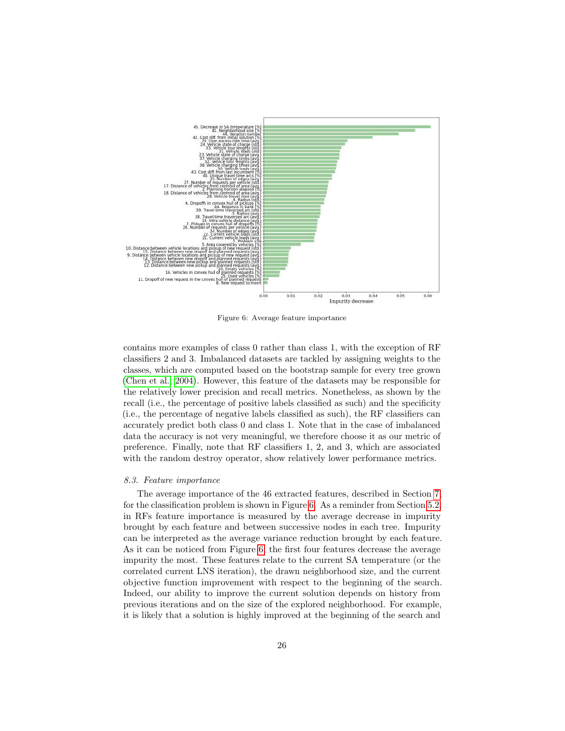<span id="page-25-0"></span>

Figure 6: Average feature importance

contains more examples of class 0 rather than class 1, with the exception of RF classifiers 2 and 3. Imbalanced datasets are tackled by assigning weights to the classes, which are computed based on the bootstrap sample for every tree grown [\(Chen et al., 2004\)](#page-34-14). However, this feature of the datasets may be responsible for the relatively lower precision and recall metrics. Nonetheless, as shown by the recall (i.e., the percentage of positive labels classified as such) and the specificity (i.e., the percentage of negative labels classified as such), the RF classifiers can accurately predict both class 0 and class 1. Note that in the case of imbalanced data the accuracy is not very meaningful, we therefore choose it as our metric of preference. Finally, note that RF classifiers 1, 2, and 3, which are associated with the random destroy operator, show relatively lower performance metrics.

#### 8.3. Feature importance

The average importance of the 46 extracted features, described in Section [7,](#page-16-0) for the classification problem is shown in Figure [6.](#page-25-0) As a reminder from Section [5.2,](#page-14-0) in RFs feature importance is measured by the average decrease in impurity brought by each feature and between successive nodes in each tree. Impurity can be interpreted as the average variance reduction brought by each feature. As it can be noticed from Figure [6,](#page-25-0) the first four features decrease the average impurity the most. These features relate to the current SA temperature (or the correlated current LNS iteration), the drawn neighborhood size, and the current objective function improvement with respect to the beginning of the search. Indeed, our ability to improve the current solution depends on history from previous iterations and on the size of the explored neighborhood. For example, it is likely that a solution is highly improved at the beginning of the search and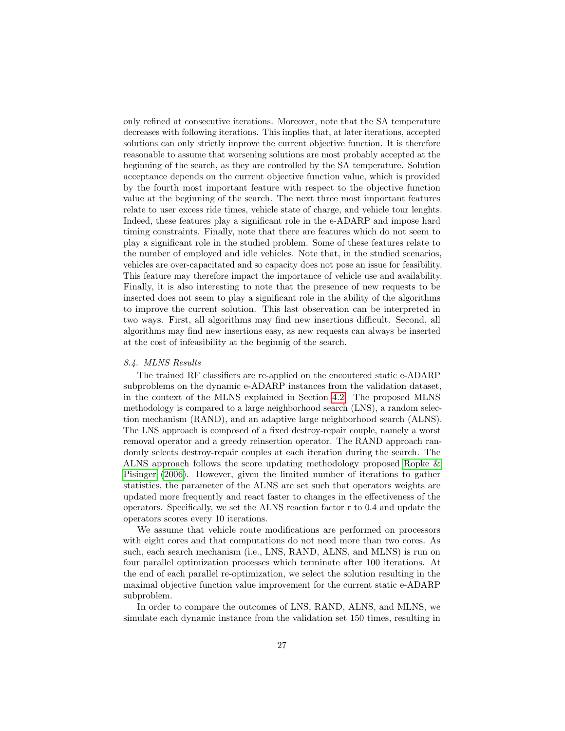only refined at consecutive iterations. Moreover, note that the SA temperature decreases with following iterations. This implies that, at later iterations, accepted solutions can only strictly improve the current objective function. It is therefore reasonable to assume that worsening solutions are most probably accepted at the beginning of the search, as they are controlled by the SA temperature. Solution acceptance depends on the current objective function value, which is provided by the fourth most important feature with respect to the objective function value at the beginning of the search. The next three most important features relate to user excess ride times, vehicle state of charge, and vehicle tour lenghts. Indeed, these features play a significant role in the e-ADARP and impose hard timing constraints. Finally, note that there are features which do not seem to play a significant role in the studied problem. Some of these features relate to the number of employed and idle vehicles. Note that, in the studied scenarios, vehicles are over-capacitated and so capacity does not pose an issue for feasibility. This feature may therefore impact the importance of vehicle use and availability. Finally, it is also interesting to note that the presence of new requests to be inserted does not seem to play a significant role in the ability of the algorithms to improve the current solution. This last observation can be interpreted in two ways. First, all algorithms may find new insertions difficult. Second, all algorithms may find new insertions easy, as new requests can always be inserted at the cost of infeasibility at the beginnig of the search.

## 8.4. MLNS Results

The trained RF classifiers are re-applied on the encoutered static e-ADARP subproblems on the dynamic e-ADARP instances from the validation dataset, in the context of the MLNS explained in Section [4.2.](#page-10-0) The proposed MLNS methodology is compared to a large neighborhood search (LNS), a random selection mechanism (RAND), and an adaptive large neighborhood search (ALNS). The LNS approach is composed of a fixed destroy-repair couple, namely a worst removal operator and a greedy reinsertion operator. The RAND approach randomly selects destroy-repair couples at each iteration during the search. The ALNS approach follows the score updating methodology proposed [Ropke &](#page-37-1) [Pisinger](#page-37-1) [\(2006\)](#page-37-1). However, given the limited number of iterations to gather statistics, the parameter of the ALNS are set such that operators weights are updated more frequently and react faster to changes in the effectiveness of the operators. Specifically, we set the ALNS reaction factor r to 0.4 and update the operators scores every 10 iterations.

We assume that vehicle route modifications are performed on processors with eight cores and that computations do not need more than two cores. As such, each search mechanism (i.e., LNS, RAND, ALNS, and MLNS) is run on four parallel optimization processes which terminate after 100 iterations. At the end of each parallel re-optimization, we select the solution resulting in the maximal objective function value improvement for the current static e-ADARP subproblem.

In order to compare the outcomes of LNS, RAND, ALNS, and MLNS, we simulate each dynamic instance from the validation set 150 times, resulting in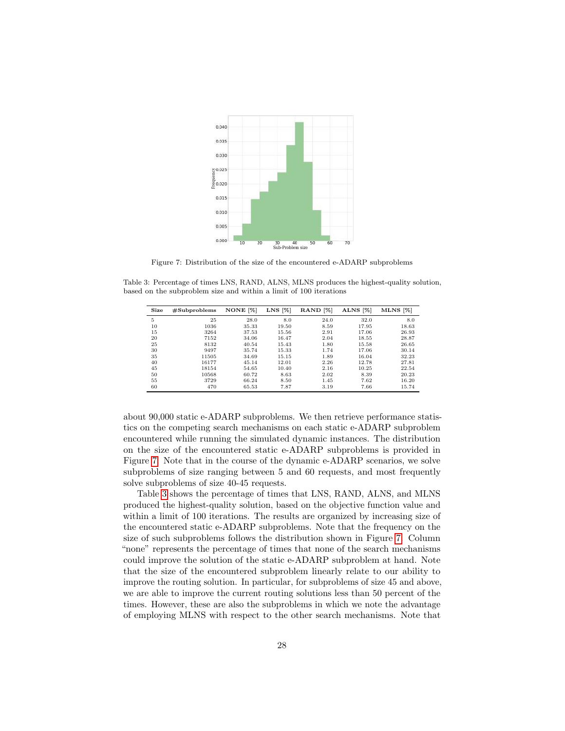<span id="page-27-0"></span>

Figure 7: Distribution of the size of the encountered e-ADARP subproblems

<span id="page-27-1"></span>Table 3: Percentage of times LNS, RAND, ALNS, MLNS produces the highest-quality solution, based on the subproblem size and within a limit of 100 iterations

| Size | #Subproblems | NONE [%] | LNS [%] | RAND <sup>[%]</sup> | ALNS [%] | $MLNS$ [%] |
|------|--------------|----------|---------|---------------------|----------|------------|
| 5    | 25           | 28.0     | 8.0     | 24.0                | 32.0     | 8.0        |
| 10   | 1036         | 35.33    | 19.50   | 8.59                | 17.95    | 18.63      |
| 15   | 3264         | 37.53    | 15.56   | 2.91                | 17.06    | 26.93      |
| 20   | 7152         | 34.06    | 16.47   | 2.04                | 18.55    | 28.87      |
| 25   | 8132         | 40.54    | 15.43   | 1.80                | 15.58    | 26.65      |
| 30   | 9497         | 35.74    | 15.33   | 1.74                | 17.06    | 30.14      |
| 35   | 11505        | 34.69    | 15.15   | 1.89                | 16.04    | 32.23      |
| 40   | 16177        | 45.14    | 12.01   | 2.26                | 12.78    | 27.81      |
| 45   | 18154        | 54.65    | 10.40   | 2.16                | 10.25    | 22.54      |
| 50   | 10568        | 60.72    | 8.63    | 2.02                | 8.39     | 20.23      |
| 55   | 3729         | 66.24    | 8.50    | 1.45                | 7.62     | 16.20      |
| 60   | 470          | 65.53    | 7.87    | 3.19                | 7.66     | 15.74      |

about 90,000 static e-ADARP subproblems. We then retrieve performance statistics on the competing search mechanisms on each static e-ADARP subproblem encountered while running the simulated dynamic instances. The distribution on the size of the encountered static e-ADARP subproblems is provided in Figure [7.](#page-27-0) Note that in the course of the dynamic e-ADARP scenarios, we solve subproblems of size ranging between 5 and 60 requests, and most frequently solve subproblems of size 40-45 requests.

Table [3](#page-27-1) shows the percentage of times that LNS, RAND, ALNS, and MLNS produced the highest-quality solution, based on the objective function value and within a limit of 100 iterations. The results are organized by increasing size of the encountered static e-ADARP subproblems. Note that the frequency on the size of such subproblems follows the distribution shown in Figure [7.](#page-27-0) Column "none" represents the percentage of times that none of the search mechanisms could improve the solution of the static e-ADARP subproblem at hand. Note that the size of the encountered subproblem linearly relate to our ability to improve the routing solution. In particular, for subproblems of size 45 and above, we are able to improve the current routing solutions less than 50 percent of the times. However, these are also the subproblems in which we note the advantage of employing MLNS with respect to the other search mechanisms. Note that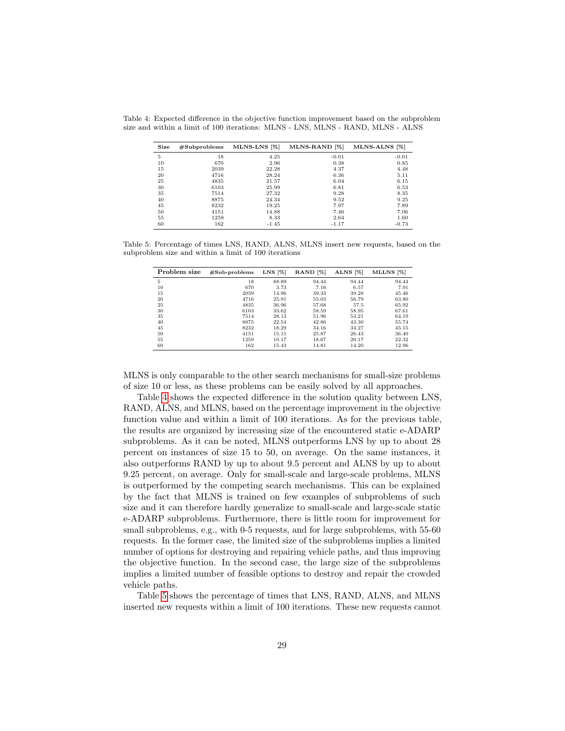| Size | #Subproblems | MLNS-LNS [%] | MLNS-RAND <sup>[%]</sup> | MLNS-ALNS [%] |
|------|--------------|--------------|--------------------------|---------------|
| 5    | 18           | 4.25         | $-0.01$                  | $-0.01$       |
| 10   | 670          | 2.96         | 0.38                     | 0.85          |
| 15   | 2039         | 22.28        | 4.37                     | 4.48          |
| 20   | 4716         | 28.24        | 6.36                     | 5.11          |
| 25   | 4835         | 21.57        | 6.04                     | 6.15          |
| 30   | 6103         | 25.99        | 6.81                     | 6.53          |
| 35   | 7514         | 27.32        | 9.28                     | 8.35          |
| 40   | 8875         | 24.34        | 9.52                     | 9.25          |
| 45   | 8232         | 19.25        | 7.97                     | 7.89          |
| 50   | 4151         | 14.88        | 7.46                     | 7.06          |
| 55   | 1259         | 8.33         | 2.64                     | 1.60          |
| 60   | 162          | $-1.45$      | $-1.17$                  | $-0.73$       |

<span id="page-28-0"></span>Table 4: Expected difference in the objective function improvement based on the subproblem size and within a limit of 100 iterations: MLNS - LNS, MLNS - RAND, MLNS - ALNS

<span id="page-28-1"></span>Table 5: Percentage of times LNS, RAND, ALNS, MLNS insert new requests, based on the subproblem size and within a limit of 100 iterations

| Problem size | $#Sub-problems$ | $LNS$ [%] | RAND <sup>[%]</sup> | ALNS [%] | MLLNS [%] |
|--------------|-----------------|-----------|---------------------|----------|-----------|
| 5            | 18              | 88.89     | 94.44               | 94.44    | 94.44     |
| 10           | 670             | 3.73      | 7.16                | 6.57     | 7.91      |
| 15           | 2039            | 14.96     | 39.33               | 39.28    | 45.46     |
| 20           | 4716            | 25.91     | 55.03               | 56.79    | 63.80     |
| 25           | 4835            | 36.96     | 57.68               | 57.5     | 65.92     |
| 30           | 6103            | 33.62     | 58.59               | 58.95    | 67.61     |
| 35           | 7514            | 28.13     | 51.96               | 53.21    | 64.19     |
| 40           | 8875            | 22.54     | 42.86               | 43.30    | 55.74     |
| 45           | 8232            | 18.29     | 34.16               | 34.27    | 45.15     |
| 50           | 4151            | 15.15     | 25.87               | 26.43    | 36.40     |
| 55           | 1259            | 10.17     | 18.67               | 20.17    | 22.32     |
| 60           | 162             | 15.43     | 14.81               | 14.20    | 12.96     |

MLNS is only comparable to the other search mechanisms for small-size problems of size 10 or less, as these problems can be easily solved by all approaches.

Table [4](#page-28-0) shows the expected difference in the solution quality between LNS, RAND, ALNS, and MLNS, based on the percentage improvement in the objective function value and within a limit of 100 iterations. As for the previous table, the results are organized by increasing size of the encountered static e-ADARP subproblems. As it can be noted, MLNS outperforms LNS by up to about 28 percent on instances of size 15 to 50, on average. On the same instances, it also outperforms RAND by up to about 9.5 percent and ALNS by up to about 9.25 percent, on average. Only for small-scale and large-scale problems, MLNS is outperformed by the competing search mechanisms. This can be explained by the fact that MLNS is trained on few examples of subproblems of such size and it can therefore hardly generalize to small-scale and large-scale static e-ADARP subproblems. Furthermore, there is little room for improvement for small subproblems, e.g., with 0-5 requests, and for large subproblems, with 55-60 requests. In the former case, the limited size of the subproblems implies a limited number of options for destroying and repairing vehicle paths, and thus improving the objective function. In the second case, the large size of the subproblems implies a limited number of feasible options to destroy and repair the crowded vehicle paths.

Table [5](#page-28-1) shows the percentage of times that LNS, RAND, ALNS, and MLNS inserted new requests within a limit of 100 iterations. These new requests cannot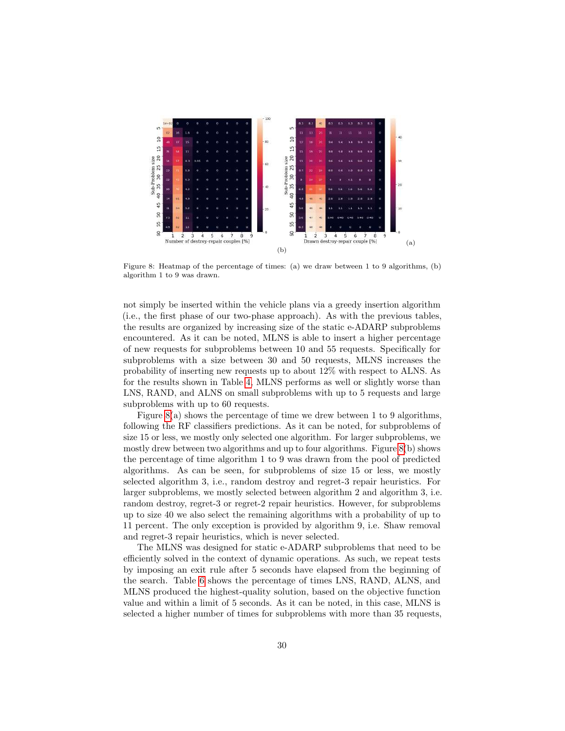<span id="page-29-0"></span>

Figure 8: Heatmap of the percentage of times: (a) we draw between 1 to 9 algorithms, (b) algorithm 1 to 9 was drawn.

not simply be inserted within the vehicle plans via a greedy insertion algorithm (i.e., the first phase of our two-phase approach). As with the previous tables, the results are organized by increasing size of the static e-ADARP subproblems encountered. As it can be noted, MLNS is able to insert a higher percentage of new requests for subproblems between 10 and 55 requests. Specifically for subproblems with a size between 30 and 50 requests, MLNS increases the probability of inserting new requests up to about 12% with respect to ALNS. As for the results shown in Table [4,](#page-28-0) MLNS performs as well or slightly worse than LNS, RAND, and ALNS on small subproblems with up to 5 requests and large subproblems with up to 60 requests.

Figure  $8(a)$  shows the percentage of time we drew between 1 to 9 algorithms, following the RF classifiers predictions. As it can be noted, for subproblems of size 15 or less, we mostly only selected one algorithm. For larger subproblems, we mostly drew between two algorithms and up to four algorithms. Figure [8\(](#page-29-0)b) shows the percentage of time algorithm 1 to 9 was drawn from the pool of predicted algorithms. As can be seen, for subproblems of size 15 or less, we mostly selected algorithm 3, i.e., random destroy and regret-3 repair heuristics. For larger subproblems, we mostly selected between algorithm 2 and algorithm 3, i.e. random destroy, regret-3 or regret-2 repair heuristics. However, for subproblems up to size 40 we also select the remaining algorithms with a probability of up to 11 percent. The only exception is provided by algorithm 9, i.e. Shaw removal and regret-3 repair heuristics, which is never selected.

The MLNS was designed for static e-ADARP subproblems that need to be efficiently solved in the context of dynamic operations. As such, we repeat tests by imposing an exit rule after 5 seconds have elapsed from the beginning of the search. Table [6](#page-30-0) shows the percentage of times LNS, RAND, ALNS, and MLNS produced the highest-quality solution, based on the objective function value and within a limit of 5 seconds. As it can be noted, in this case, MLNS is selected a higher number of times for subproblems with more than 35 requests,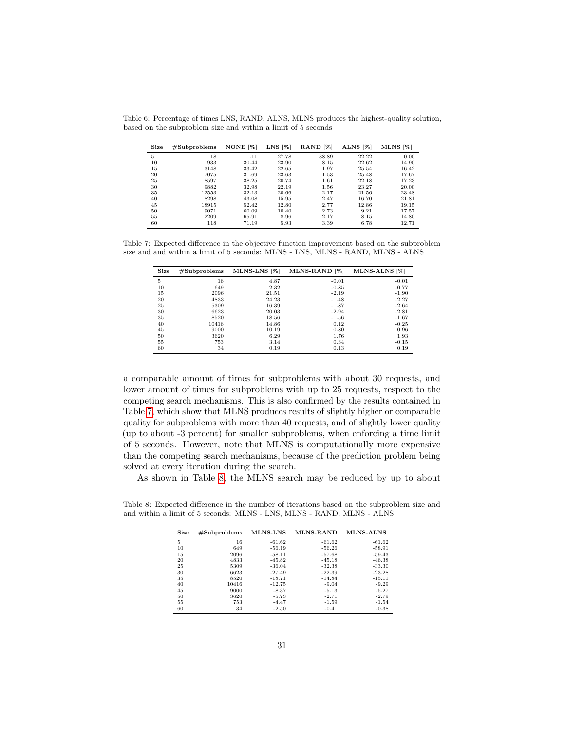| Size | #Subproblems | NONE <sup>[%]</sup> | $LNS$ [%] | RAND <sup>[%]</sup> | ALNS [%] | $MLNS$ [%] |
|------|--------------|---------------------|-----------|---------------------|----------|------------|
| 5    | 18           | 11.11               | 27.78     | 38.89               | 22.22    | 0.00       |
| 10   | 933          | 30.44               | 23.90     | 8.15                | 22.62    | 14.90      |
| 15   | 3148         | 33.42               | 22.65     | 1.97                | 25.54    | 16.42      |
| 20   | 7075         | 31.69               | 23.63     | 1.53                | 25.48    | 17.67      |
| 25   | 8597         | 38.25               | 20.74     | 1.61                | 22.18    | 17.23      |
| 30   | 9882         | 32.98               | 22.19     | 1.56                | 23.27    | 20.00      |
| 35   | 12553        | 32.13               | 20.66     | 2.17                | 21.56    | 23.48      |
| 40   | 18298        | 43.08               | 15.95     | 2.47                | 16.70    | 21.81      |
| 45   | 18915        | 52.42               | 12.80     | 2.77                | 12.86    | 19.15      |
| 50   | 9071         | 60.09               | 10.40     | 2.73                | 9.21     | 17.57      |
| 55   | 2209         | 65.91               | 8.96      | 2.17                | 8.15     | 14.80      |
| 60   | 118          | 71.19               | 5.93      | 3.39                | 6.78     | 12.71      |

<span id="page-30-0"></span>Table 6: Percentage of times LNS, RAND, ALNS, MLNS produces the highest-quality solution, based on the subproblem size and within a limit of 5 seconds

<span id="page-30-1"></span>Table 7: Expected difference in the objective function improvement based on the subproblem size and and within a limit of 5 seconds: MLNS - LNS, MLNS - RAND, MLNS - ALNS

| Size | $\#$ Subproblems | MLNS-LNS [%] | MLNS-RAND <sup>[%]</sup> | MLNS-ALNS [%] |
|------|------------------|--------------|--------------------------|---------------|
| 5    | 16               | 4.87         | $-0.01$                  | $-0.01$       |
| 10   | 649              | 2.32         | $-0.85$                  | $-0.77$       |
| 15   | 2096             | 21.51        | $-2.19$                  | $-1.90$       |
| 20   | 4833             | 24.23        | $-1.48$                  | $-2.27$       |
| 25   | 5309             | 16.39        | $-1.87$                  | $-2.64$       |
| 30   | 6623             | 20.03        | $-2.94$                  | $-2.81$       |
| 35   | 8520             | 18.56        | $-1.56$                  | $-1.67$       |
| 40   | 10416            | 14.86        | 0.12                     | $-0.25$       |
| 45   | 9000             | 10.19        | 0.80                     | 0.96          |
| 50   | 3620             | 6.29         | 1.76                     | 1.93          |
| 55   | 753              | 3.14         | 0.34                     | $-0.15$       |
| 60   | 34               | 0.19         | 0.13                     | 0.19          |

a comparable amount of times for subproblems with about 30 requests, and lower amount of times for subproblems with up to 25 requests, respect to the competing search mechanisms. This is also confirmed by the results contained in Table [7,](#page-30-1) which show that MLNS produces results of slightly higher or comparable quality for subproblems with more than 40 requests, and of slightly lower quality (up to about -3 percent) for smaller subproblems, when enforcing a time limit of 5 seconds. However, note that MLNS is computationally more expensive than the competing search mechanisms, because of the prediction problem being solved at every iteration during the search.

As shown in Table [8,](#page-30-2) the MLNS search may be reduced by up to about

<span id="page-30-2"></span>Table 8: Expected difference in the number of iterations based on the subproblem size and and within a limit of 5 seconds: MLNS - LNS, MLNS - RAND, MLNS - ALNS

| Size | #Subproblems | MLNS-LNS | <b>MLNS-RAND</b> | <b>MLNS-ALNS</b> |
|------|--------------|----------|------------------|------------------|
| 5    | 16           | $-61.62$ | $-61.62$         | $-61.62$         |
| 10   | 649          | $-56.19$ | $-56.26$         | $-58.91$         |
| 15   | 2096         | $-58.11$ | $-57.68$         | $-59.43$         |
| 20   | 4833         | $-45.82$ | $-45.18$         | $-46.38$         |
| 25   | 5309         | $-36.04$ | $-32.38$         | $-33.30$         |
| 30   | 6623         | $-27.49$ | $-22.39$         | $-23.28$         |
| 35   | 8520         | $-18.71$ | $-14.84$         | $-15.11$         |
| 40   | 10416        | $-12.75$ | $-9.04$          | $-9.29$          |
| 45   | 9000         | $-8.37$  | $-5.13$          | $-5.27$          |
| 50   | 3620         | $-5.73$  | $-2.71$          | $-2.79$          |
| 55   | 753          | $-4.47$  | $-1.59$          | $-1.54$          |
| 60   | 34           | $-2.50$  | $-0.41$          | $-0.38$          |
|      |              |          |                  |                  |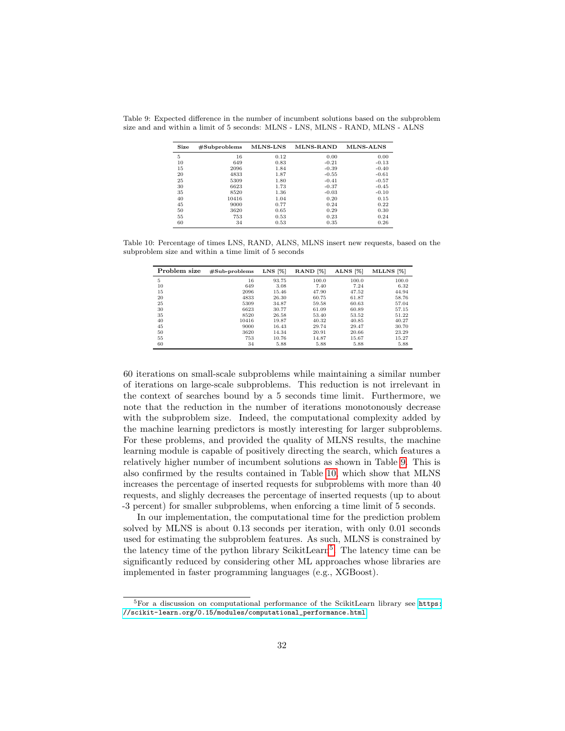| Size | #Subproblems | MLNS-LNS | MLNS-RAND | <b>MLNS-ALNS</b> |
|------|--------------|----------|-----------|------------------|
| 5    | 16           | 0.12     | 0.00      | 0.00             |
| 10   | 649          | 0.83     | $-0.21$   | $-0.13$          |
| 15   | 2096         | 1.84     | $-0.39$   | $-0.40$          |
| 20   | 4833         | 1.87     | $-0.55$   | $-0.61$          |
| 25   | 5309         | 1.80     | $-0.41$   | $-0.57$          |
| 30   | 6623         | 1.73     | $-0.37$   | $-0.45$          |
| 35   | 8520         | 1.36     | $-0.03$   | $-0.10$          |
| 40   | 10416        | 1.04     | 0.20      | 0.15             |
| 45   | 9000         | 0.77     | 0.24      | 0.22             |
| 50   | 3620         | 0.65     | 0.29      | 0.30             |
| 55   | 753          | 0.53     | 0.23      | 0.24             |
| 60   | 34           | 0.53     | 0.35      | 0.26             |

<span id="page-31-0"></span>Table 9: Expected difference in the number of incumbent solutions based on the subproblem size and and within a limit of 5 seconds: MLNS - LNS, MLNS - RAND, MLNS - ALNS

<span id="page-31-1"></span>Table 10: Percentage of times LNS, RAND, ALNS, MLNS insert new requests, based on the subproblem size and within a time limit of 5 seconds

| Problem size | $#Sub-problems$ | $LNS$ [%] | RAND <sup>[%]</sup> | ALNS [%] | MLLNS <sup>[%]</sup> |
|--------------|-----------------|-----------|---------------------|----------|----------------------|
| 5            | 16              | 93.75     | 100.0               | 100.0    | 100.0                |
| 10           | 649             | 3.08      | 7.40                | 7.24     | 6.32                 |
| 15           | 2096            | 15.46     | 47.90               | 47.52    | 44.94                |
| 20           | 4833            | 26.30     | 60.75               | 61.87    | 58.76                |
| 25           | 5309            | 34.87     | 59.58               | 60.63    | 57.04                |
| 30           | 6623            | 30.77     | 61.09               | 60.89    | 57.15                |
| 35           | 8520            | 26.58     | 53.40               | 53.52    | 51.22                |
| 40           | 10416           | 19.87     | 40.32               | 40.85    | 40.27                |
| 45           | 9000            | 16.43     | 29.74               | 29.47    | 30.70                |
| 50           | 3620            | 14.34     | 20.91               | 20.66    | 23.29                |
| 55           | 753             | 10.76     | 14.87               | 15.67    | 15.27                |
| 60           | 34              | 5.88      | 5.88                | 5.88     | 5.88                 |

60 iterations on small-scale subproblems while maintaining a similar number of iterations on large-scale subproblems. This reduction is not irrelevant in the context of searches bound by a 5 seconds time limit. Furthermore, we note that the reduction in the number of iterations monotonously decrease with the subproblem size. Indeed, the computational complexity added by the machine learning predictors is mostly interesting for larger subproblems. For these problems, and provided the quality of MLNS results, the machine learning module is capable of positively directing the search, which features a relatively higher number of incumbent solutions as shown in Table [9.](#page-31-0) This is also confirmed by the results contained in Table [10,](#page-31-1) which show that MLNS increases the percentage of inserted requests for subproblems with more than 40 requests, and slighly decreases the percentage of inserted requests (up to about -3 percent) for smaller subproblems, when enforcing a time limit of 5 seconds.

In our implementation, the computational time for the prediction problem solved by MLNS is about 0.13 seconds per iteration, with only 0.01 seconds used for estimating the subproblem features. As such, MLNS is constrained by the latency time of the python library ScikitLearn<sup>[5](#page-31-2)</sup>. The latency time can be significantly reduced by considering other ML approaches whose libraries are implemented in faster programming languages (e.g., XGBoost).

<span id="page-31-2"></span><sup>5</sup>For a discussion on computational performance of the ScikitLearn library see [https:](https://scikit-learn.org/0.15/modules/computational_performance.html) [//scikit-learn.org/0.15/modules/computational\\_performance.html](https://scikit-learn.org/0.15/modules/computational_performance.html)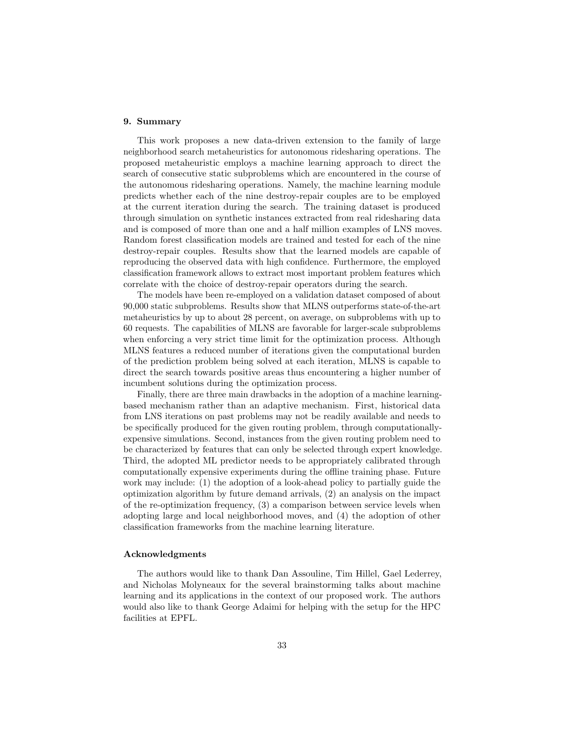# <span id="page-32-0"></span>9. Summary

This work proposes a new data-driven extension to the family of large neighborhood search metaheuristics for autonomous ridesharing operations. The proposed metaheuristic employs a machine learning approach to direct the search of consecutive static subproblems which are encountered in the course of the autonomous ridesharing operations. Namely, the machine learning module predicts whether each of the nine destroy-repair couples are to be employed at the current iteration during the search. The training dataset is produced through simulation on synthetic instances extracted from real ridesharing data and is composed of more than one and a half million examples of LNS moves. Random forest classification models are trained and tested for each of the nine destroy-repair couples. Results show that the learned models are capable of reproducing the observed data with high confidence. Furthermore, the employed classification framework allows to extract most important problem features which correlate with the choice of destroy-repair operators during the search.

The models have been re-employed on a validation dataset composed of about 90,000 static subproblems. Results show that MLNS outperforms state-of-the-art metaheuristics by up to about 28 percent, on average, on subproblems with up to 60 requests. The capabilities of MLNS are favorable for larger-scale subproblems when enforcing a very strict time limit for the optimization process. Although MLNS features a reduced number of iterations given the computational burden of the prediction problem being solved at each iteration, MLNS is capable to direct the search towards positive areas thus encountering a higher number of incumbent solutions during the optimization process.

Finally, there are three main drawbacks in the adoption of a machine learningbased mechanism rather than an adaptive mechanism. First, historical data from LNS iterations on past problems may not be readily available and needs to be specifically produced for the given routing problem, through computationallyexpensive simulations. Second, instances from the given routing problem need to be characterized by features that can only be selected through expert knowledge. Third, the adopted ML predictor needs to be appropriately calibrated through computationally expensive experiments during the offline training phase. Future work may include: (1) the adoption of a look-ahead policy to partially guide the optimization algorithm by future demand arrivals, (2) an analysis on the impact of the re-optimization frequency, (3) a comparison between service levels when adopting large and local neighborhood moves, and (4) the adoption of other classification frameworks from the machine learning literature.

## Acknowledgments

The authors would like to thank Dan Assouline, Tim Hillel, Gael Lederrey, and Nicholas Molyneaux for the several brainstorming talks about machine learning and its applications in the context of our proposed work. The authors would also like to thank George Adaimi for helping with the setup for the HPC facilities at EPFL.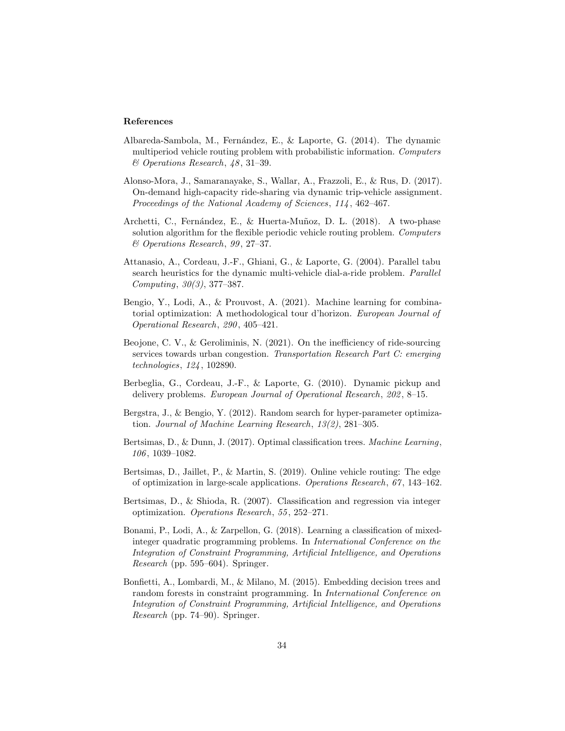## References

- <span id="page-33-0"></span>Albareda-Sambola, M., Fernández, E., & Laporte, G. (2014). The dynamic multiperiod vehicle routing problem with probabilistic information. Computers & Operations Research, 48 , 31–39.
- <span id="page-33-1"></span>Alonso-Mora, J., Samaranayake, S., Wallar, A., Frazzoli, E., & Rus, D. (2017). On-demand high-capacity ride-sharing via dynamic trip-vehicle assignment. Proceedings of the National Academy of Sciences, 114, 462-467.
- <span id="page-33-3"></span>Archetti, C., Fernández, E., & Huerta-Muñoz, D. L. (2018). A two-phase solution algorithm for the flexible periodic vehicle routing problem. Computers & Operations Research, 99 , 27–37.
- <span id="page-33-6"></span>Attanasio, A., Cordeau, J.-F., Ghiani, G., & Laporte, G. (2004). Parallel tabu search heuristics for the dynamic multi-vehicle dial-a-ride problem. Parallel Computing, 30(3), 377–387.
- <span id="page-33-10"></span>Bengio, Y., Lodi, A., & Prouvost, A. (2021). Machine learning for combinatorial optimization: A methodological tour d'horizon. European Journal of Operational Research, 290 , 405–421.
- <span id="page-33-4"></span>Beojone, C. V., & Geroliminis, N. (2021). On the inefficiency of ride-sourcing services towards urban congestion. Transportation Research Part C: emerging technologies, 124 , 102890.
- <span id="page-33-2"></span>Berbeglia, G., Cordeau, J.-F., & Laporte, G. (2010). Dynamic pickup and delivery problems. European Journal of Operational Research, 202, 8-15.
- <span id="page-33-12"></span>Bergstra, J., & Bengio, Y. (2012). Random search for hyper-parameter optimization. Journal of Machine Learning Research, 13(2), 281–305.
- <span id="page-33-7"></span>Bertsimas, D., & Dunn, J. (2017). Optimal classification trees. Machine Learning, 106 , 1039–1082.
- <span id="page-33-5"></span>Bertsimas, D., Jaillet, P., & Martin, S. (2019). Online vehicle routing: The edge of optimization in large-scale applications. Operations Research, 67 , 143–162.
- <span id="page-33-8"></span>Bertsimas, D., & Shioda, R. (2007). Classification and regression via integer optimization. Operations Research, 55 , 252–271.
- <span id="page-33-9"></span>Bonami, P., Lodi, A., & Zarpellon, G. (2018). Learning a classification of mixedinteger quadratic programming problems. In International Conference on the Integration of Constraint Programming, Artificial Intelligence, and Operations Research (pp. 595–604). Springer.
- <span id="page-33-11"></span>Bonfietti, A., Lombardi, M., & Milano, M. (2015). Embedding decision trees and random forests in constraint programming. In International Conference on Integration of Constraint Programming, Artificial Intelligence, and Operations Research (pp. 74–90). Springer.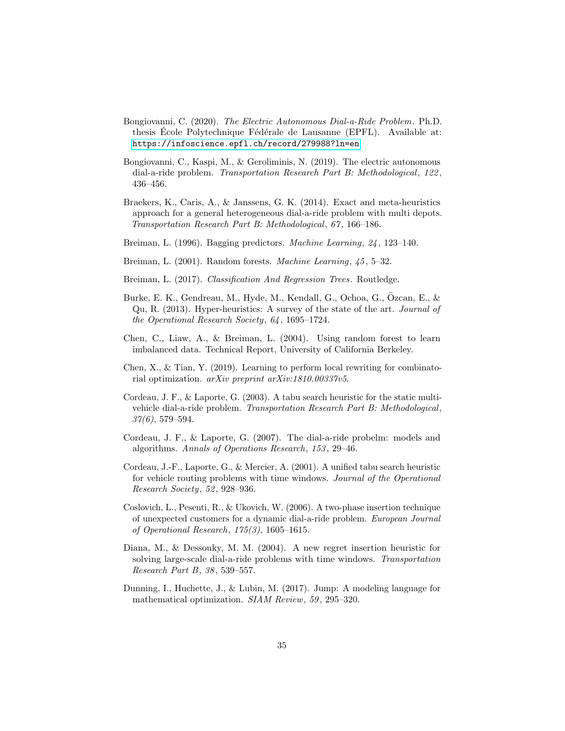- <span id="page-34-1"></span>Bongiovanni, C. (2020). The Electric Autonomous Dial-a-Ride Problem. Ph.D. thesis Ecole Polytechnique Fédérale de Lausanne (EPFL). Available at: <https://infoscience.epfl.ch/record/279988?ln=en>.
- <span id="page-34-0"></span>Bongiovanni, C., Kaspi, M., & Geroliminis, N. (2019). The electric autonomous dial-a-ride problem. Transportation Research Part B: Methodological, 122 , 436–456.
- <span id="page-34-3"></span>Braekers, K., Caris, A., & Janssens, G. K. (2014). Exact and meta-heuristics approach for a general heterogeneous dial-a-ride problem with multi depots. Transportation Research Part B: Methodological, 67 , 166–186.
- <span id="page-34-12"></span>Breiman, L. (1996). Bagging predictors. Machine Learning, 24 , 123–140.
- <span id="page-34-10"></span>Breiman, L. (2001). Random forests. Machine Learning, 45, 5-32.
- <span id="page-34-11"></span>Breiman, L. (2017). Classification And Regression Trees. Routledge.
- <span id="page-34-8"></span>Burke, E. K., Gendreau, M., Hyde, M., Kendall, G., Ochoa, G., Ozcan, E., & ¨ Qu, R. (2013). Hyper-heuristics: A survey of the state of the art. Journal of the Operational Research Society, 64 , 1695–1724.
- <span id="page-34-14"></span>Chen, C., Liaw, A., & Breiman, L. (2004). Using random forest to learn imbalanced data. Technical Report, University of California Berkeley.
- <span id="page-34-9"></span>Chen, X., & Tian, Y. (2019). Learning to perform local rewriting for combinatorial optimization. arXiv preprint arXiv:1810.00337v5.
- <span id="page-34-6"></span>Cordeau, J. F., & Laporte, G. (2003). A tabu search heuristic for the static multivehicle dial-a-ride problem. Transportation Research Part B: Methodological,  $37(6)$ , 579–594.
- <span id="page-34-2"></span>Cordeau, J. F., & Laporte, G. (2007). The dial-a-ride probelm: models and algorithms. Annals of Operations Research, 153 , 29–46.
- <span id="page-34-7"></span>Cordeau, J.-F., Laporte, G., & Mercier, A. (2001). A unified tabu search heuristic for vehicle routing problems with time windows. Journal of the Operational Research Society, 52, 928–936.
- <span id="page-34-4"></span>Coslovich, L., Pesenti, R., & Ukovich, W. (2006). A two-phase insertion technique of unexpected customers for a dynamic dial-a-ride problem. European Journal of Operational Research, 175(3), 1605–1615.
- <span id="page-34-5"></span>Diana, M., & Dessouky, M. M. (2004). A new regret insertion heuristic for solving large-scale dial-a-ride problems with time windows. Transportation Research Part B, 38 , 539–557.
- <span id="page-34-13"></span>Dunning, I., Huchette, J., & Lubin, M. (2017). Jump: A modeling language for mathematical optimization. SIAM Review, 59, 295–320.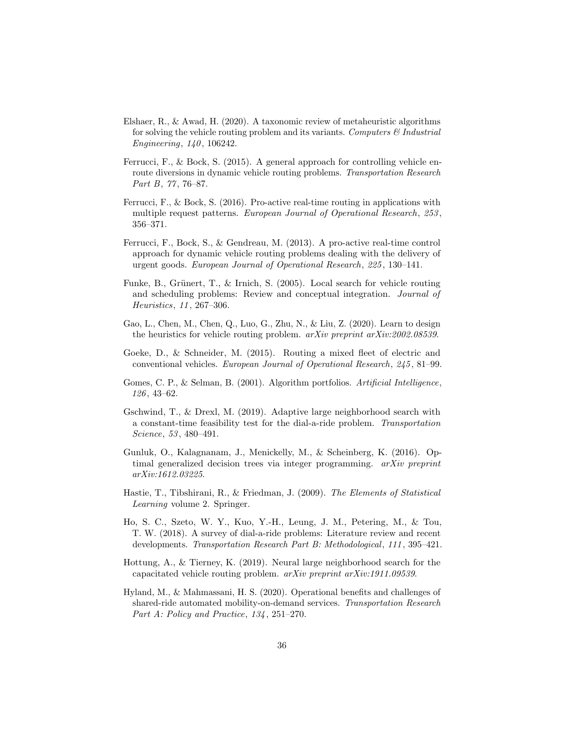- <span id="page-35-6"></span>Elshaer, R., & Awad, H. (2020). A taxonomic review of metaheuristic algorithms for solving the vehicle routing problem and its variants. Computers  $\mathcal{C}$  Industrial Engineering,  $140, 106242$ .
- <span id="page-35-1"></span>Ferrucci, F., & Bock, S. (2015). A general approach for controlling vehicle enroute diversions in dynamic vehicle routing problems. Transportation Research Part B, 77, 76-87.
- <span id="page-35-3"></span>Ferrucci, F., & Bock, S. (2016). Pro-active real-time routing in applications with multiple request patterns. European Journal of Operational Research, 253, 356–371.
- <span id="page-35-4"></span>Ferrucci, F., Bock, S., & Gendreau, M. (2013). A pro-active real-time control approach for dynamic vehicle routing problems dealing with the delivery of urgent goods. European Journal of Operational Research, 225 , 130–141.
- <span id="page-35-5"></span>Funke, B., Grünert, T., & Irnich, S. (2005). Local search for vehicle routing and scheduling problems: Review and conceptual integration. Journal of Heuristics, 11 , 267–306.
- <span id="page-35-11"></span>Gao, L., Chen, M., Chen, Q., Luo, G., Zhu, N., & Liu, Z. (2020). Learn to design the heuristics for vehicle routing problem. arXiv preprint arXiv:2002.08539.
- <span id="page-35-8"></span>Goeke, D., & Schneider, M. (2015). Routing a mixed fleet of electric and conventional vehicles. European Journal of Operational Research, 245 , 81–99.
- <span id="page-35-10"></span>Gomes, C. P., & Selman, B. (2001). Algorithm portfolios. Artificial Intelligence, 126 , 43–62.
- <span id="page-35-7"></span>Gschwind, T., & Drexl, M. (2019). Adaptive large neighborhood search with a constant-time feasibility test for the dial-a-ride problem. Transportation Science, 53 , 480–491.
- <span id="page-35-9"></span>Gunluk, O., Kalagnanam, J., Menickelly, M., & Scheinberg, K. (2016). Optimal generalized decision trees via integer programming. arXiv preprint arXiv:1612.03225.
- <span id="page-35-13"></span>Hastie, T., Tibshirani, R., & Friedman, J. (2009). The Elements of Statistical Learning volume 2. Springer.
- <span id="page-35-2"></span>Ho, S. C., Szeto, W. Y., Kuo, Y.-H., Leung, J. M., Petering, M., & Tou, T. W. (2018). A survey of dial-a-ride problems: Literature review and recent developments. Transportation Research Part B: Methodological, 111 , 395–421.
- <span id="page-35-12"></span>Hottung, A., & Tierney, K. (2019). Neural large neighborhood search for the capacitated vehicle routing problem. arXiv preprint arXiv:1911.09539.
- <span id="page-35-0"></span>Hyland, M., & Mahmassani, H. S. (2020). Operational benefits and challenges of shared-ride automated mobility-on-demand services. Transportation Research Part A: Policy and Practice, 134, 251-270.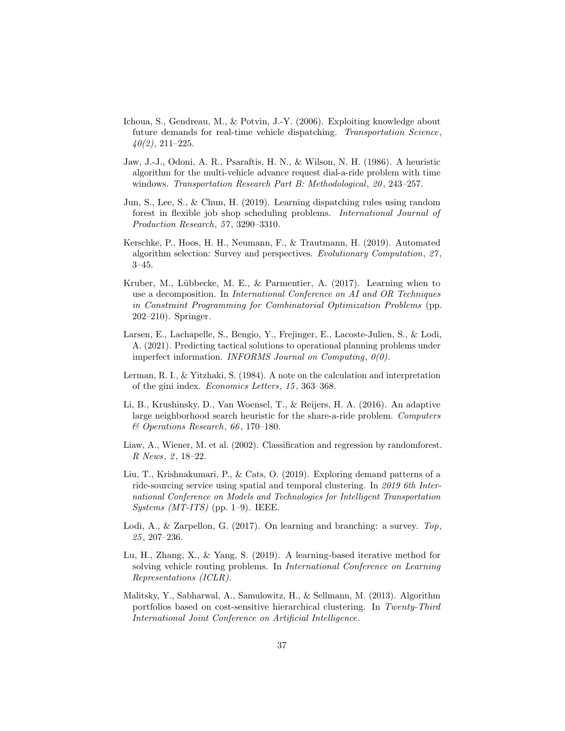- <span id="page-36-2"></span>Ichoua, S., Gendreau, M., & Potvin, J.-Y. (2006). Exploiting knowledge about future demands for real-time vehicle dispatching. Transportation Science,  $40(2)$ , 211–225.
- <span id="page-36-3"></span>Jaw, J.-J., Odoni, A. R., Psaraftis, H. N., & Wilson, N. H. (1986). A heuristic algorithm for the multi-vehicle advance request dial-a-ride problem with time windows. Transportation Research Part B: Methodological, 20, 243-257.
- <span id="page-36-10"></span>Jun, S., Lee, S., & Chun, H. (2019). Learning dispatching rules using random forest in flexible job shop scheduling problems. International Journal of Production Research, 57 , 3290–3310.
- <span id="page-36-7"></span>Kerschke, P., Hoos, H. H., Neumann, F., & Trautmann, H. (2019). Automated algorithm selection: Survey and perspectives. Evolutionary Computation, 27 , 3–45.
- <span id="page-36-5"></span>Kruber, M., Lübbecke, M. E., & Parmentier, A. (2017). Learning when to use a decomposition. In International Conference on AI and OR Techniques in Constraint Programming for Combinatorial Optimization Problems (pp. 202–210). Springer.
- <span id="page-36-1"></span>Larsen, E., Lachapelle, S., Bengio, Y., Frejinger, E., Lacoste-Julien, S., & Lodi, A. (2021). Predicting tactical solutions to operational planning problems under imperfect information. INFORMS Journal on Computing, 0(0).
- <span id="page-36-12"></span>Lerman, R. I., & Yitzhaki, S. (1984). A note on the calculation and interpretation of the gini index. Economics Letters, 15 , 363–368.
- <span id="page-36-4"></span>Li, B., Krushinsky, D., Van Woensel, T., & Reijers, H. A. (2016). An adaptive large neighborhood search heuristic for the share-a-ride problem. Computers  $\&$  Operations Research, 66, 170–180.
- <span id="page-36-11"></span>Liaw, A., Wiener, M. et al. (2002). Classification and regression by randomforest. R News, 2, 18-22.
- <span id="page-36-0"></span>Liu, T., Krishnakumari, P., & Cats, O. (2019). Exploring demand patterns of a ride-sourcing service using spatial and temporal clustering. In 2019 6th International Conference on Models and Technologies for Intelligent Transportation Systems (MT-ITS) (pp. 1–9). IEEE.
- <span id="page-36-6"></span>Lodi, A., & Zarpellon, G. (2017). On learning and branching: a survey. Top, 25 , 207–236.
- <span id="page-36-9"></span>Lu, H., Zhang, X., & Yang, S. (2019). A learning-based iterative method for solving vehicle routing problems. In International Conference on Learning Representations (ICLR).
- <span id="page-36-8"></span>Malitsky, Y., Sabharwal, A., Samulowitz, H., & Sellmann, M. (2013). Algorithm portfolios based on cost-sensitive hierarchical clustering. In Twenty-Third International Joint Conference on Artificial Intelligence.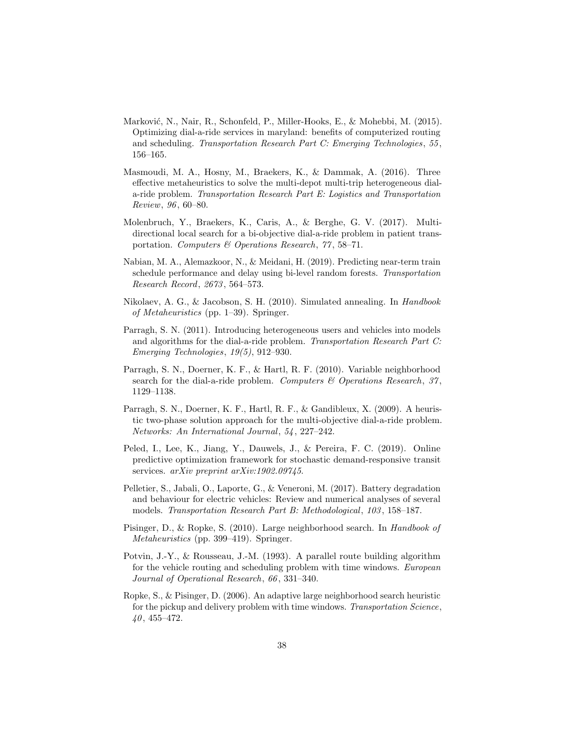- <span id="page-37-6"></span>Marković, N., Nair, R., Schonfeld, P., Miller-Hooks, E., & Mohebbi, M. (2015). Optimizing dial-a-ride services in maryland: benefits of computerized routing and scheduling. Transportation Research Part C: Emerging Technologies, 55 , 156–165.
- <span id="page-37-8"></span>Masmoudi, M. A., Hosny, M., Braekers, K., & Dammak, A. (2016). Three effective metaheuristics to solve the multi-depot multi-trip heterogeneous diala-ride problem. Transportation Research Part E: Logistics and Transportation Review, 96 , 60–80.
- <span id="page-37-7"></span>Molenbruch, Y., Braekers, K., Caris, A., & Berghe, G. V. (2017). Multidirectional local search for a bi-objective dial-a-ride problem in patient transportation. Computers & Operations Research, 77 , 58–71.
- <span id="page-37-11"></span>Nabian, M. A., Alemazkoor, N., & Meidani, H. (2019). Predicting near-term train schedule performance and delay using bi-level random forests. Transportation Research Record, 2673 , 564–573.
- <span id="page-37-10"></span>Nikolaev, A. G., & Jacobson, S. H. (2010). Simulated annealing. In Handbook of Metaheuristics (pp. 1–39). Springer.
- <span id="page-37-2"></span>Parragh, S. N. (2011). Introducing heterogeneous users and vehicles into models and algorithms for the dial-a-ride problem. Transportation Research Part C: Emerging Technologies, 19(5), 912–930.
- <span id="page-37-9"></span>Parragh, S. N., Doerner, K. F., & Hartl, R. F. (2010). Variable neighborhood search for the dial-a-ride problem. Computers  $\mathcal C$  Operations Research, 37, 1129–1138.
- <span id="page-37-4"></span>Parragh, S. N., Doerner, K. F., Hartl, R. F., & Gandibleux, X. (2009). A heuristic two-phase solution approach for the multi-objective dial-a-ride problem. Networks: An International Journal, 54 , 227–242.
- <span id="page-37-3"></span>Peled, I., Lee, K., Jiang, Y., Dauwels, J., & Pereira, F. C. (2019). Online predictive optimization framework for stochastic demand-responsive transit services. arXiv preprint arXiv:1902.09745.
- <span id="page-37-12"></span>Pelletier, S., Jabali, O., Laporte, G., & Veneroni, M. (2017). Battery degradation and behaviour for electric vehicles: Review and numerical analyses of several models. Transportation Research Part B: Methodological, 103 , 158–187.
- <span id="page-37-0"></span>Pisinger, D., & Ropke, S. (2010). Large neighborhood search. In Handbook of Metaheuristics (pp. 399–419). Springer.
- <span id="page-37-5"></span>Potvin, J.-Y., & Rousseau, J.-M. (1993). A parallel route building algorithm for the vehicle routing and scheduling problem with time windows. European Journal of Operational Research, 66 , 331–340.
- <span id="page-37-1"></span>Ropke, S., & Pisinger, D. (2006). An adaptive large neighborhood search heuristic for the pickup and delivery problem with time windows. Transportation Science,  $40, 455 - 472.$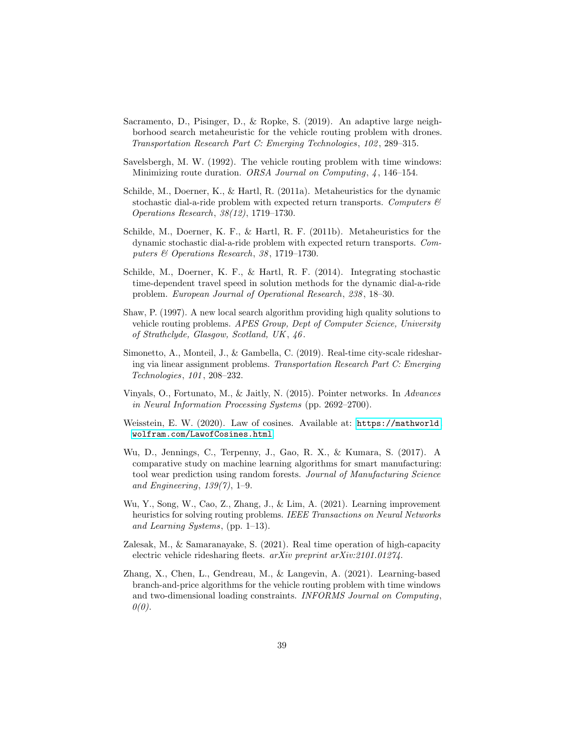- <span id="page-38-6"></span>Sacramento, D., Pisinger, D., & Ropke, S. (2019). An adaptive large neighborhood search metaheuristic for the vehicle routing problem with drones. Transportation Research Part C: Emerging Technologies, 102 , 289–315.
- <span id="page-38-11"></span>Savelsbergh, M. W. (1992). The vehicle routing problem with time windows: Minimizing route duration. ORSA Journal on Computing, 4, 146-154.
- <span id="page-38-5"></span>Schilde, M., Doerner, K., & Hartl, R. (2011a). Metaheuristics for the dynamic stochastic dial-a-ride problem with expected return transports. Computers  $\mathcal{B}$ Operations Research, 38(12), 1719–1730.
- <span id="page-38-1"></span>Schilde, M., Doerner, K. F., & Hartl, R. F. (2011b). Metaheuristics for the dynamic stochastic dial-a-ride problem with expected return transports. Computers & Operations Research, 38 , 1719–1730.
- <span id="page-38-4"></span>Schilde, M., Doerner, K. F., & Hartl, R. F. (2014). Integrating stochastic time-dependent travel speed in solution methods for the dynamic dial-a-ride problem. European Journal of Operational Research, 238 , 18–30.
- <span id="page-38-3"></span>Shaw, P. (1997). A new local search algorithm providing high quality solutions to vehicle routing problems. APES Group, Dept of Computer Science, University of Strathclyde, Glasgow, Scotland, UK , 46 .
- <span id="page-38-2"></span>Simonetto, A., Monteil, J., & Gambella, C. (2019). Real-time city-scale ridesharing via linear assignment problems. Transportation Research Part C: Emerging Technologies, 101 , 208–232.
- <span id="page-38-8"></span>Vinyals, O., Fortunato, M., & Jaitly, N. (2015). Pointer networks. In Advances in Neural Information Processing Systems (pp. 2692–2700).
- <span id="page-38-12"></span>Weisstein, E. W. (2020). Law of cosines. Available at: [https://mathworld.](https://mathworld.wolfram.com/LawofCosines.html) [wolfram.com/LawofCosines.html](https://mathworld.wolfram.com/LawofCosines.html).
- <span id="page-38-10"></span>Wu, D., Jennings, C., Terpenny, J., Gao, R. X., & Kumara, S. (2017). A comparative study on machine learning algorithms for smart manufacturing: tool wear prediction using random forests. Journal of Manufacturing Science and Engineering,  $139(7)$ , 1–9.
- <span id="page-38-9"></span>Wu, Y., Song, W., Cao, Z., Zhang, J., & Lim, A. (2021). Learning improvement heuristics for solving routing problems. IEEE Transactions on Neural Networks and Learning Systems, (pp. 1–13).
- <span id="page-38-0"></span>Zalesak, M., & Samaranayake, S. (2021). Real time operation of high-capacity electric vehicle ridesharing fleets. arXiv preprint arXiv:2101.01274.
- <span id="page-38-7"></span>Zhang, X., Chen, L., Gendreau, M., & Langevin, A. (2021). Learning-based branch-and-price algorithms for the vehicle routing problem with time windows and two-dimensional loading constraints. INFORMS Journal on Computing,  $\theta(0)$ .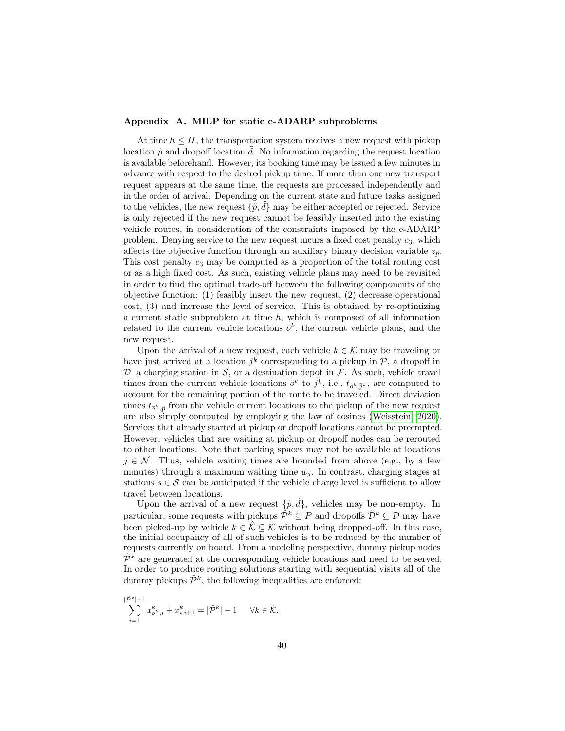## <span id="page-39-0"></span>Appendix A. MILP for static e-ADARP subproblems

At time  $h \leq H$ , the transportation system receives a new request with pickup location  $\tilde{p}$  and dropoff location  $\tilde{d}$ . No information regarding the request location is available beforehand. However, its booking time may be issued a few minutes in advance with respect to the desired pickup time. If more than one new transport request appears at the same time, the requests are processed independently and in the order of arrival. Depending on the current state and future tasks assigned to the vehicles, the new request  $\{\tilde{p}, \tilde{d}\}$  may be either accepted or rejected. Service is only rejected if the new request cannot be feasibly inserted into the existing vehicle routes, in consideration of the constraints imposed by the e-ADARP problem. Denying service to the new request incurs a fixed cost penalty  $c_3$ , which affects the objective function through an auxiliary binary decision variable  $z_{\tilde{p}}$ . This cost penalty  $c_3$  may be computed as a proportion of the total routing cost or as a high fixed cost. As such, existing vehicle plans may need to be revisited in order to find the optimal trade-off between the following components of the objective function: (1) feasibly insert the new request, (2) decrease operational cost, (3) and increase the level of service. This is obtained by re-optimizing a current static subproblem at time  $h$ , which is composed of all information related to the current vehicle locations  $\bar{\sigma}^k$ , the current vehicle plans, and the new request.

Upon the arrival of a new request, each vehicle  $k \in \mathcal{K}$  may be traveling or have just arrived at a location  $\overline{j^k}$  corresponding to a pickup in  $\mathcal{P}$ , a dropoff in  $\mathcal{D}$ , a charging station in  $\mathcal{S}$ , or a destination depot in  $\mathcal{F}$ . As such, vehicle travel times from the current vehicle locations  $\bar{o}^k$  to  $\bar{j}^k$ , i.e.,  $t_{\bar{o}^k, \bar{j}^k}$ , are computed to account for the remaining portion of the route to be traveled. Direct deviation times  $t_{\bar{o}^k, \tilde{p}}$  from the vehicle current locations to the pickup of the new request are also simply computed by employing the law of cosines [\(Weisstein, 2020\)](#page-38-12). Services that already started at pickup or dropoff locations cannot be preempted. However, vehicles that are waiting at pickup or dropoff nodes can be rerouted to other locations. Note that parking spaces may not be available at locations  $j \in \mathcal{N}$ . Thus, vehicle waiting times are bounded from above (e.g., by a few minutes) through a maximum waiting time  $w_i$ . In contrast, charging stages at stations  $s \in \mathcal{S}$  can be anticipated if the vehicle charge level is sufficient to allow travel between locations.

Upon the arrival of a new request  $\{\tilde{p}, \tilde{d}\}\$ , vehicles may be non-empty. In particular, some requests with pickups  $\hat{\mathcal{P}}^k \subseteq \mathcal{P}$  and dropoffs  $\hat{\mathcal{D}}^k \subseteq \mathcal{D}$  may have been picked-up by vehicle  $k \in \hat{\mathcal{K}} \subseteq \mathcal{K}$  without being dropped-off. In this case, the initial occupancy of all of such vehicles is to be reduced by the number of requests currently on board. From a modeling perspective, dummy pickup nodes  $\hat{\mathcal{P}}^k$  are generated at the corresponding vehicle locations and need to be served. In order to produce routing solutions starting with sequential visits all of the dummy pickups  $\hat{\mathcal{P}}^k$ , the following inequalities are enforced:

$$
\sum_{i=1}^{|\hat{\mathcal{P}}^k|-1} x_{o^k, i}^k + x_{i, i+1}^k = |\hat{\mathcal{P}}^k| - 1 \quad \forall k \in \hat{\mathcal{K}}.
$$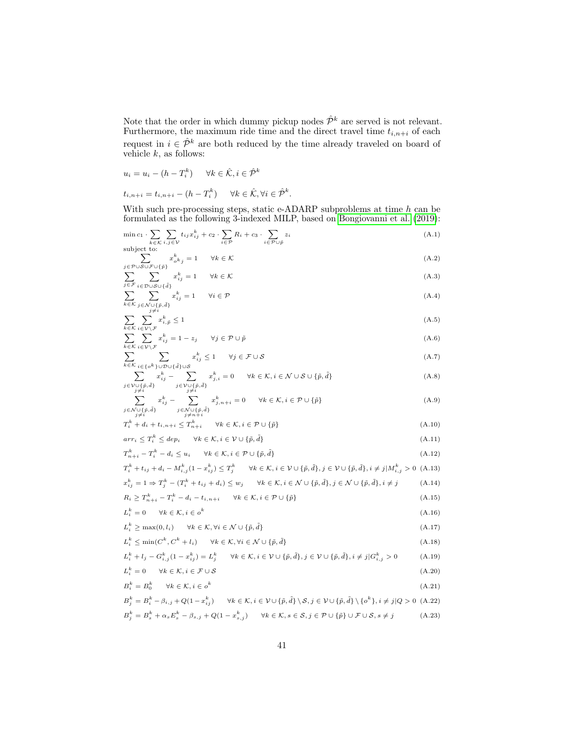Note that the order in which dummy pickup nodes  $\hat{\mathcal{P}}^k$  are served is not relevant. Furthermore, the maximum ride time and the direct travel time  $t_{i,n+i}$  of each request in  $i \in \hat{\mathcal{P}}^k$  are both reduced by the time already traveled on board of vehicle  $k$ , as follows:

$$
u_i = u_i - (h - T_i^k) \quad \forall k \in \hat{\mathcal{K}}, i \in \hat{\mathcal{P}}^k
$$
  

$$
t_{i,n+i} = t_{i,n+i} - (h - T_i^k) \quad \forall k \in \hat{\mathcal{K}}, \forall i \in \hat{\mathcal{P}}^k.
$$

With such pre-processing steps, static e-ADARP subproblems at time  $h$  can be formulated as the following 3-indexed MILP, based on [Bongiovanni et al.](#page-34-0) [\(2019\)](#page-34-0):

<span id="page-40-0"></span>
$$
\min c_1 \cdot \sum_{k \in \mathcal{K}} \sum_{i,j \in \mathcal{V}} t_{ij} x_{ij}^k + c_2 \cdot \sum_{i \in \mathcal{P}} R_i + c_3 \cdot \sum_{i \in \mathcal{P} \cup \bar{p}} z_i
$$
\n(A.1)

\nsubject to:

<span id="page-40-1"></span>
$$
\sum_{j \in \mathcal{P} \cup \mathcal{S} \cup \mathcal{F} \cup \{\bar{p}\}} x_{o^k j}^k = 1 \qquad \forall k \in \mathcal{K}
$$
\n(A.2)

<span id="page-40-2"></span>
$$
\sum_{j \in \mathcal{F}} \sum_{i \in \mathcal{D} \cup \mathcal{S} \cup \{\tilde{d}\}} x_{ij}^k = 1 \quad \forall k \in \mathcal{K}
$$
\n
$$
\sum_{j \in \mathcal{F}} x_{ij}^k = 1 \quad \forall i \in \mathcal{P}
$$
\n
$$
(A.3)
$$

<span id="page-40-3"></span>
$$
\sum_{k \in \mathcal{K}} \sum_{\substack{j \in \mathcal{N} \cup \{\tilde{p}, \tilde{d}\} \\ j \neq i}} x_{ij}^{\kappa} = 1 \qquad \forall i \in \mathcal{P}
$$
\n(A.4)

<span id="page-40-4"></span>
$$
\sum_{k \in \mathcal{K}} \sum_{i \in \mathcal{V} \setminus \mathcal{F}} x_{i,\tilde{p}}^k \le 1
$$
\n
$$
\sum_{k \in \mathcal{K}} \sum_{i \in \mathcal{V} \setminus \mathcal{F}} x_{i,\tilde{p}}^k = 1 \quad \text{if } \quad \forall i \in \mathcal{P} \cup \tilde{\mathcal{F}} \tag{A.6}
$$

<span id="page-40-5"></span>
$$
\sum_{k \in \mathcal{K}} \sum_{i \in \mathcal{V} \setminus \mathcal{F}} x_{ij}^k = 1 - z_j \qquad \forall j \in \mathcal{P} \cup \tilde{p} \tag{A.6}
$$
\n
$$
\sum_{k \in \mathcal{K}} \sum_{i \in \mathcal{V} \setminus \mathcal{F}} x_{ij}^k < 1 \qquad \forall i \in \mathcal{F} \cup \mathcal{S} \tag{A.7}
$$

<span id="page-40-6"></span>
$$
\sum_{k \in \mathcal{K}} \sum_{i \in \{o^k\} \cup \mathcal{D} \cup \{\tilde{d}\} \cup \mathcal{S}} x_{ij}^k \le 1 \quad \forall j \in \mathcal{F} \cup \mathcal{S}
$$
\n
$$
\sum_{k \in \mathcal{K}} x_{ij}^k - \sum_{k \in \{1, \ldots, k\}} x_{ij}^k = 0 \quad \forall k \in \mathcal{K}, i \in \mathcal{N} \cup \mathcal{S} \cup \{\tilde{u}, \tilde{d}\}
$$
\n(A.8)

<span id="page-40-7"></span>
$$
\sum_{\substack{j \in \mathcal{V} \cup \{\tilde{p}, \tilde{d}\} \\ j \neq i}} x_{ij}^k - \sum_{\substack{j \in \mathcal{V} \cup \{\tilde{p}, \tilde{d}\} \\ j \neq i}} x_{j,i}^k = 0 \quad \forall k \in \mathcal{K}, i \in \mathcal{N} \cup \mathcal{S} \cup \{\tilde{p}, \tilde{d}\}
$$
\n(A.8)

<span id="page-40-8"></span>
$$
\sum_{\substack{j \in \mathcal{N} \cup \{\tilde{p}, \tilde{d}\} \\ j \neq i}} x_{ij}^k - \sum_{\substack{j \in \mathcal{N} \cup \{\tilde{p}, \tilde{d}\} \\ j \neq n+i}} x_{j,n+i}^k = 0 \quad \forall k \in \mathcal{K}, i \in \mathcal{P} \cup \{\tilde{p}\}
$$
\n(A.9)\n
$$
T^k + d + t, \quad \dots < T^k \quad \forall k \in \mathcal{K} \quad i \in \mathcal{P} \cup \{\tilde{p}\} \tag{A.10}
$$

<span id="page-40-10"></span><span id="page-40-9"></span>
$$
T_i^k + d_i + t_{i,n+i} \le T_{n+i}^k \qquad \forall k \in \mathcal{K}, i \in \mathcal{P} \cup \{\tilde{p}\}
$$
\n
$$
(A.10)
$$

<span id="page-40-11"></span>
$$
arr_i \le T_i^k \le dep_i \qquad \forall k \in \mathcal{K}, i \in \mathcal{V} \cup \{\tilde{p}, \tilde{d}\}
$$
\n
$$
T^k \cdot \cdot \cdot = T^k - d \cdot \le \nu \cdot \qquad \forall k \in \mathcal{K} \quad i \in \mathcal{P} \cup \{\tilde{n}, \tilde{d}\}
$$
\n
$$
(A.11)
$$
\n
$$
(A.12)
$$

<span id="page-40-14"></span><span id="page-40-13"></span><span id="page-40-12"></span>
$$
T_{n+i}^{k} - T_{i}^{k} - d_{i} \leq u_{i} \quad \forall k \in \mathcal{K}, i \in \mathcal{P} \cup \{\tilde{p}, \tilde{d}\}
$$
\n(A.12)\n
$$
T_{i}^{k} + t_{ij} + d_{i} - M_{i,j}^{k}(1 - x_{ij}^{k}) \leq T_{j}^{k} \quad \forall k \in \mathcal{K}, i \in \mathcal{V} \cup \{\tilde{p}, \tilde{d}\}, j \in \mathcal{V} \cup \{\tilde{p}, \tilde{d}\}, i \neq j | M_{i,j}^{k} > 0 \quad (A.13)
$$
\n
$$
x_{ij}^{k} = 1 \Rightarrow T_{j}^{k} - (T_{i}^{k} + t_{ij} + d_{i}) \leq w_{j} \quad \forall k \in \mathcal{K}, i \in \mathcal{N} \cup \{\tilde{p}, \tilde{d}\}, j \in \mathcal{N} \cup \{\tilde{p}, \tilde{d}\}, i \neq j \quad (A.14)
$$
\n
$$
R_{i} \geq T_{n+i}^{k} - T_{i}^{k} - d_{i} - t_{i,n+i} \quad \forall k \in \mathcal{K}, i \in \mathcal{P} \cup \{\tilde{p}\}
$$
\n
$$
L_{i}^{k} = 0 \quad \forall k \in \mathcal{K}, i \in \mathcal{o}^{k}
$$
\n
$$
L_{i}^{k} > \max(0, l_{i}) \quad \forall k \in \mathcal{K}, \forall i \in \mathcal{N} \cup \{\tilde{p}, \tilde{d}\}
$$
\n(A.17)

<span id="page-40-17"></span><span id="page-40-16"></span><span id="page-40-15"></span>
$$
L_i^k \ge \max(0, l_i) \quad \forall k \in \mathcal{K}, \forall i \in \mathcal{N} \cup \{\tilde{p}, \tilde{d}\}
$$
\n(A.17)  
\n
$$
L_i^k \le \min(C^k, C^k + l_i) \quad \forall k \in \mathcal{K}, \forall i \in \mathcal{N} \cup \{\tilde{p}, \tilde{d}\}
$$
\n(A.18)  
\n
$$
L_i^k + l_j - G_{i,j}^k (1 - x_{ij}^k) = L_j^k \quad \forall k \in \mathcal{K}, i \in \mathcal{V} \cup \{\tilde{p}, \tilde{d}\}, j \in \mathcal{V} \cup \{\tilde{p}, \tilde{d}\}, i \ne j | G_{i,j}^k > 0
$$
\n(A.19)

<span id="page-40-20"></span><span id="page-40-19"></span><span id="page-40-18"></span>
$$
L_i^k = 0 \quad \forall k \in \mathcal{K}, i \in \mathcal{F} \cup \mathcal{S}
$$
\n
$$
B_i^k = B_0^k \quad \forall k \in \mathcal{K}, i \in o^k
$$
\n
$$
B_j^k = B_i^k - \beta_{i,j} + Q(1 - x_{ij}^k) \quad \forall k \in \mathcal{K}, i \in \mathcal{V} \cup \{\tilde{p}, \tilde{d}\} \setminus \mathcal{S}, j \in \mathcal{V} \cup \{\tilde{p}, \tilde{d}\} \setminus \{o^k\}, i \neq j | Q > 0 \quad (A.22)
$$
\n
$$
(A.21)
$$

<span id="page-40-22"></span><span id="page-40-21"></span>
$$
B_j^k = B_s^k + \alpha_s E_s^k - \beta_{s,j} + Q(1 - x_{s,j}^k) \qquad \forall k \in \mathcal{K}, s \in \mathcal{S}, j \in \mathcal{P} \cup \{\tilde{p}\} \cup \mathcal{F} \cup \mathcal{S}, s \neq j
$$
 (A.23)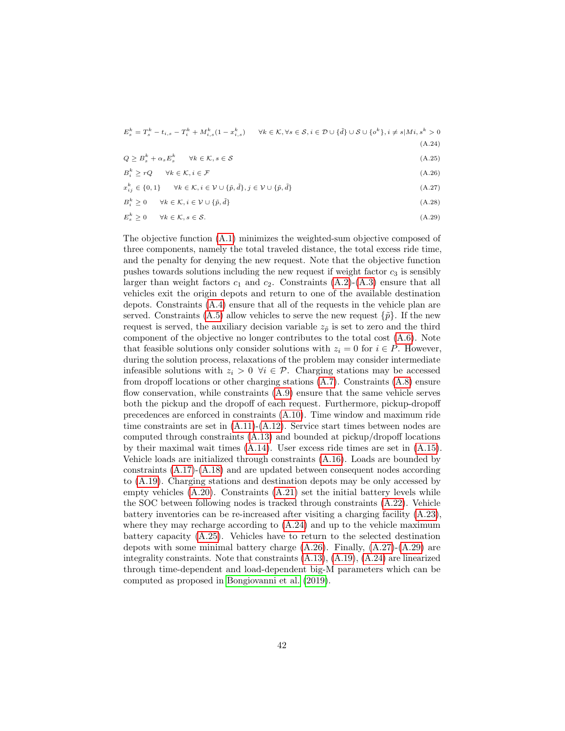<span id="page-41-0"></span>

| $E_s^k = T_s^k - t_{i,s} - T_i^k + M_{i,s}^k (1 - x_{i,s}^k) \qquad \forall k \in \mathcal{K}, \forall s \in \mathcal{S}, i \in \mathcal{D} \cup \{\tilde{d}\} \cup \mathcal{S} \cup \{o^k\}, i \neq s   Mi, s^k > 0$ |
|-----------------------------------------------------------------------------------------------------------------------------------------------------------------------------------------------------------------------|
| (A.24)                                                                                                                                                                                                                |

<span id="page-41-1"></span> $Q \geq B_s^k + \alpha_s E_s^k$   $\forall k \in \mathcal{K}, s \in \mathcal{S}$  (A.25)

<span id="page-41-3"></span><span id="page-41-2"></span>
$$
B_i^k \ge rQ \qquad \forall k \in \mathcal{K}, i \in \mathcal{F} \tag{A.26}
$$

$$
x_{ij}^k \in \{0, 1\} \qquad \forall k \in \mathcal{K}, i \in \mathcal{V} \cup \{\tilde{p}, \tilde{d}\}, j \in \mathcal{V} \cup \{\tilde{p}, \tilde{d}\}
$$
\n
$$
(A.27)
$$

<span id="page-41-4"></span>
$$
B_i^k \ge 0 \qquad \forall k \in \mathcal{K}, i \in \mathcal{V} \cup \{\tilde{p}, \tilde{d}\} \tag{A.28}
$$

$$
E_s^k \ge 0 \qquad \forall k \in \mathcal{K}, s \in \mathcal{S}.\tag{A.29}
$$

The objective function [\(A.1\)](#page-40-0) minimizes the weighted-sum objective composed of three components, namely the total traveled distance, the total excess ride time, and the penalty for denying the new request. Note that the objective function pushes towards solutions including the new request if weight factor  $c_3$  is sensibly larger than weight factors  $c_1$  and  $c_2$ . Constraints  $(A.2)$ - $(A.3)$  ensure that all vehicles exit the origin depots and return to one of the available destination depots. Constraints [\(A.4\)](#page-40-3) ensure that all of the requests in the vehicle plan are served. Constraints [\(A.5\)](#page-40-4) allow vehicles to serve the new request  $\{\tilde{p}\}\$ . If the new request is served, the auxiliary decision variable  $z_{\tilde{p}}$  is set to zero and the third component of the objective no longer contributes to the total cost [\(A.6\)](#page-40-5). Note that feasible solutions only consider solutions with  $z_i = 0$  for  $i \in P$ . However, during the solution process, relaxations of the problem may consider intermediate infeasible solutions with  $z_i > 0 \ \forall i \in \mathcal{P}$ . Charging stations may be accessed from dropoff locations or other charging stations [\(A.7\)](#page-40-6). Constraints [\(A.8\)](#page-40-7) ensure flow conservation, while constraints [\(A.9\)](#page-40-8) ensure that the same vehicle serves both the pickup and the dropoff of each request. Furthermore, pickup-dropoff precedences are enforced in constraints [\(A.10\)](#page-40-9). Time window and maximum ride time constraints are set in  $(A.11)-(A.12)$  $(A.11)-(A.12)$  $(A.11)-(A.12)$ . Service start times between nodes are computed through constraints [\(A.13\)](#page-40-12) and bounded at pickup/dropoff locations by their maximal wait times [\(A.14\)](#page-40-13). User excess ride times are set in [\(A.15\)](#page-40-14). Vehicle loads are initialized through constraints [\(A.16\)](#page-40-15). Loads are bounded by constraints [\(A.17\)](#page-40-16)-[\(A.18\)](#page-40-17) and are updated between consequent nodes according to [\(A.19\)](#page-40-18). Charging stations and destination depots may be only accessed by empty vehicles [\(A.20\)](#page-40-19). Constraints [\(A.21\)](#page-40-20) set the initial battery levels while the SOC between following nodes is tracked through constraints [\(A.22\)](#page-40-21). Vehicle battery inventories can be re-increased after visiting a charging facility [\(A.23\)](#page-40-22), where they may recharge according to  $(A.24)$  and up to the vehicle maximum battery capacity [\(A.25\)](#page-41-1). Vehicles have to return to the selected destination depots with some minimal battery charge  $(A.26)$ . Finally,  $(A.27)-(A.29)$  $(A.27)-(A.29)$  $(A.27)-(A.29)$  are integrality constraints. Note that constraints [\(A.13\)](#page-40-12), [\(A.19\)](#page-40-18), [\(A.24\)](#page-41-0) are linearized through time-dependent and load-dependent big-M parameters which can be computed as proposed in [Bongiovanni et al.](#page-34-0) [\(2019\)](#page-34-0).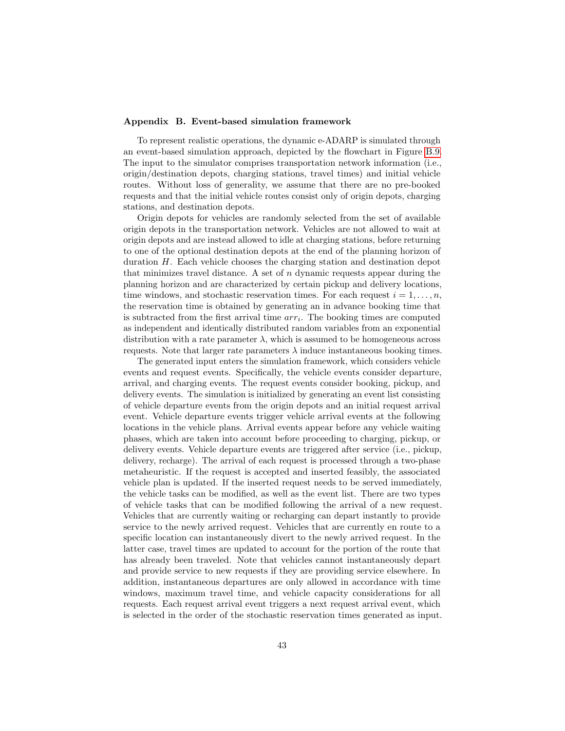## <span id="page-42-0"></span>Appendix B. Event-based simulation framework

To represent realistic operations, the dynamic e-ADARP is simulated through an event-based simulation approach, depicted by the flowchart in Figure [B.9.](#page-43-0) The input to the simulator comprises transportation network information (i.e., origin/destination depots, charging stations, travel times) and initial vehicle routes. Without loss of generality, we assume that there are no pre-booked requests and that the initial vehicle routes consist only of origin depots, charging stations, and destination depots.

Origin depots for vehicles are randomly selected from the set of available origin depots in the transportation network. Vehicles are not allowed to wait at origin depots and are instead allowed to idle at charging stations, before returning to one of the optional destination depots at the end of the planning horizon of duration H. Each vehicle chooses the charging station and destination depot that minimizes travel distance. A set of  $n$  dynamic requests appear during the planning horizon and are characterized by certain pickup and delivery locations, time windows, and stochastic reservation times. For each request  $i = 1, \ldots, n$ , the reservation time is obtained by generating an in advance booking time that is subtracted from the first arrival time  $arr_i$ . The booking times are computed as independent and identically distributed random variables from an exponential distribution with a rate parameter  $\lambda$ , which is assumed to be homogeneous across requests. Note that larger rate parameters  $\lambda$  induce instantaneous booking times.

The generated input enters the simulation framework, which considers vehicle events and request events. Specifically, the vehicle events consider departure, arrival, and charging events. The request events consider booking, pickup, and delivery events. The simulation is initialized by generating an event list consisting of vehicle departure events from the origin depots and an initial request arrival event. Vehicle departure events trigger vehicle arrival events at the following locations in the vehicle plans. Arrival events appear before any vehicle waiting phases, which are taken into account before proceeding to charging, pickup, or delivery events. Vehicle departure events are triggered after service (i.e., pickup, delivery, recharge). The arrival of each request is processed through a two-phase metaheuristic. If the request is accepted and inserted feasibly, the associated vehicle plan is updated. If the inserted request needs to be served immediately, the vehicle tasks can be modified, as well as the event list. There are two types of vehicle tasks that can be modified following the arrival of a new request. Vehicles that are currently waiting or recharging can depart instantly to provide service to the newly arrived request. Vehicles that are currently en route to a specific location can instantaneously divert to the newly arrived request. In the latter case, travel times are updated to account for the portion of the route that has already been traveled. Note that vehicles cannot instantaneously depart and provide service to new requests if they are providing service elsewhere. In addition, instantaneous departures are only allowed in accordance with time windows, maximum travel time, and vehicle capacity considerations for all requests. Each request arrival event triggers a next request arrival event, which is selected in the order of the stochastic reservation times generated as input.